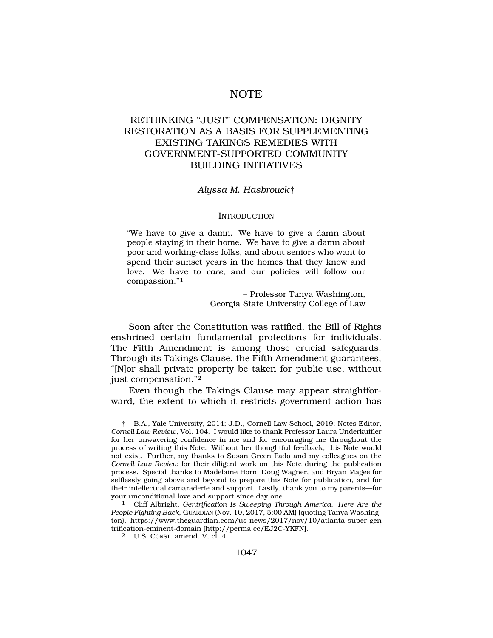# NOTE

# RETHINKING "JUST" COMPENSATION: DIGNITY RESTORATION AS A BASIS FOR SUPPLEMENTING EXISTING TAKINGS REMEDIES WITH GOVERNMENT-SUPPORTED COMMUNITY BUILDING INITIATIVES

### *Alyssa M. Hasbrouck*†

#### **INTRODUCTION**

"We have to give a damn. We have to give a damn about people staying in their home. We have to give a damn about poor and working-class folks, and about seniors who want to spend their sunset years in the homes that they know and love. We have to *care*, and our policies will follow our compassion."1

> – Professor Tanya Washington, Georgia State University College of Law

Soon after the Constitution was ratified, the Bill of Rights enshrined certain fundamental protections for individuals. The Fifth Amendment is among those crucial safeguards. Through its Takings Clause, the Fifth Amendment guarantees, "[N]or shall private property be taken for public use, without just compensation."2

Even though the Takings Clause may appear straightforward, the extent to which it restricts government action has

<sup>†</sup> B.A., Yale University, 2014; J.D., Cornell Law School, 2019; Notes Editor, *Cornell Law Review*, Vol. 104. I would like to thank Professor Laura Underkuffler for her unwavering confidence in me and for encouraging me throughout the process of writing this Note. Without her thoughtful feedback, this Note would not exist. Further, my thanks to Susan Green Pado and my colleagues on the *Cornell Law Review* for their diligent work on this Note during the publication process. Special thanks to Madelaine Horn, Doug Wagner, and Bryan Magee for selflessly going above and beyond to prepare this Note for publication, and for their intellectual camaraderie and support. Lastly, thank you to my parents—for

Cliff Albright, *Gentrification Is Sweeping Through America. Here Are the People Fighting Back*, GUARDIAN (Nov. 10, 2017, 5:00 AM) (quoting Tanya Washington), https://www.theguardian.com/us-news/2017/nov/10/atlanta-super-gen trification-eminent-domain [http://perma.cc/EJ2C-YKFN].

<sup>2</sup> U.S. CONST. amend. V, cl. 4.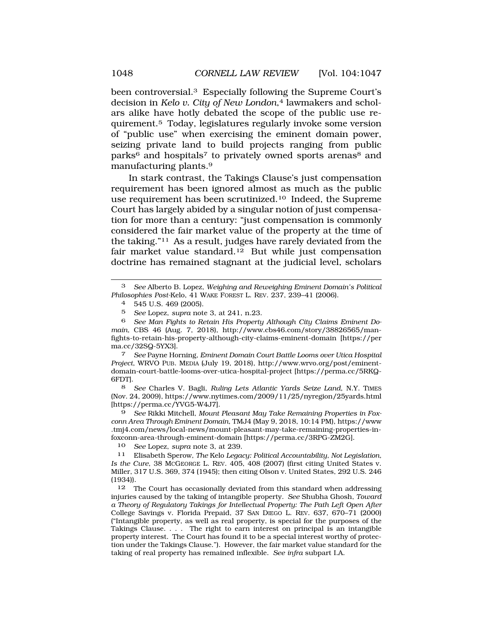been controversial.<sup>3</sup> Especially following the Supreme Court's decision in *Kelo v. City of New London*,<sup>4</sup> lawmakers and scholars alike have hotly debated the scope of the public use requirement.5 Today, legislatures regularly invoke some version of "public use" when exercising the eminent domain power, seizing private land to build projects ranging from public parks<sup>6</sup> and hospitals<sup>7</sup> to privately owned sports arenas<sup>8</sup> and manufacturing plants.9

In stark contrast, the Takings Clause's just compensation requirement has been ignored almost as much as the public use requirement has been scrutinized.10 Indeed, the Supreme Court has largely abided by a singular notion of just compensation for more than a century: "just compensation is commonly considered the fair market value of the property at the time of the taking."11 As a result, judges have rarely deviated from the fair market value standard.<sup>12</sup> But while just compensation doctrine has remained stagnant at the judicial level, scholars

5 *See* Lopez, *supra* note 3, at 241, n.23.

6 *See Man Fights to Retain His Property Although City Claims Eminent Domain*, CBS 46 (Aug. 7, 2018), http://www.cbs46.com/story/38826565/manfights-to-retain-his-property-although-city-claims-eminent-domain [https://per ma.cc/32SQ-5YX3].

7 *See* Payne Horning, *Eminent Domain Court Battle Looms over Utica Hospital Project*, WRVO PUB. MEDIA (July 19, 2018), http://www.wrvo.org/post/eminentdomain-court-battle-looms-over-utica-hospital-project [https://perma.cc/5RKQ-6FDT].

8 *See* Charles V. Bagli, *Ruling Lets Atlantic Yards Seize Land*, N.Y. TIMES (Nov. 24, 2009), https://www.nytimes.com/2009/11/25/nyregion/25yards.html [https://perma.cc/YVG5-W4J7].

9 *See* Rikki Mitchell, *Mount Pleasant May Take Remaining Properties in Foxconn Area Through Eminent Domain*, TMJ4 (May 9, 2018, 10:14 PM), https://www .tmj4.com/news/local-news/mount-pleasant-may-take-remaining-properties-infoxconn-area-through-eminent-domain [https://perma.cc/3RPG-ZM2G].

10 *See* Lopez, *supra* note 3, at 239.

11 Elisabeth Sperow, *The* Kelo *Legacy: Political Accountability, Not Legislation, Is the Cure*, 38 MCGEORGE L. REV. 405, 408 (2007) (first citing United States v. Miller, 317 U.S. 369, 374 (1945); then citing Olson v. United States, 292 U.S. 246 (1934)).

12 The Court has occasionally deviated from this standard when addressing injuries caused by the taking of intangible property. *See* Shubha Ghosh, *Toward a Theory of Regulatory Takings for Intellectual Property: The Path Left Open After*  College Savings v. Florida Prepaid, 37 SAN DIEGO L. REV. 637, 670–71 (2000) ("Intangible property, as well as real property, is special for the purposes of the Takings Clause. . . . The right to earn interest on principal is an intangible property interest. The Court has found it to be a special interest worthy of protection under the Takings Clause."). However, the fair market value standard for the taking of real property has remained inflexible. *See infra* subpart I.A.

<sup>3</sup> *See* Alberto B. Lopez, *Weighing and Reweighing Eminent Domain's Political Philosophies Post-*Kelo, 41 WAKE FOREST L. REV. 237, 239–41 (2006).

<sup>4 545</sup> U.S. 469 (2005).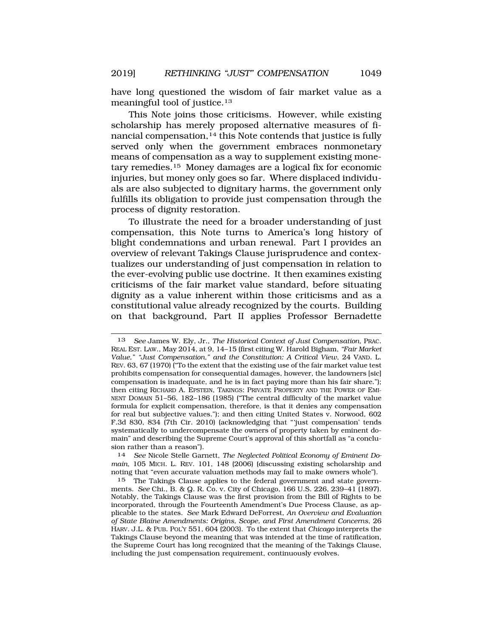have long questioned the wisdom of fair market value as a meaningful tool of justice.13

This Note joins those criticisms. However, while existing scholarship has merely proposed alternative measures of financial compensation,<sup>14</sup> this Note contends that justice is fully served only when the government embraces nonmonetary means of compensation as a way to supplement existing monetary remedies.15 Money damages are a logical fix for economic injuries, but money only goes so far. Where displaced individuals are also subjected to dignitary harms, the government only fulfills its obligation to provide just compensation through the process of dignity restoration.

To illustrate the need for a broader understanding of just compensation, this Note turns to America's long history of blight condemnations and urban renewal. Part I provides an overview of relevant Takings Clause jurisprudence and contextualizes our understanding of just compensation in relation to the ever-evolving public use doctrine. It then examines existing criticisms of the fair market value standard, before situating dignity as a value inherent within those criticisms and as a constitutional value already recognized by the courts. Building on that background, Part II applies Professor Bernadette

14 *See* Nicole Stelle Garnett, *The Neglected Political Economy of Eminent Domain*, 105 MICH. L. REV. 101, 148 (2006) (discussing existing scholarship and noting that "even accurate valuation methods may fail to make owners whole").

<sup>13</sup> *See* James W. Ely, Jr., *The Historical Context of Just Compensation*, PRAC. REAL EST. LAW., May 2014, at 9, 14–15 (first citing W. Harold Bigham, *"Fair Market Value," "Just Compensation," and the Constitution: A Critical View*, 24 VAND. L. REV. 63, 67 (1970) ("To the extent that the existing use of the fair market value test prohibits compensation for consequential damages, however, the landowners [sic] compensation is inadequate, and he is in fact paying more than his fair share."); then citing RICHARD A. EPSTEIN, TAKINGS: PRIVATE PROPERTY AND THE POWER OF EMI-NENT DOMAIN 51–56, 182–186 (1985) ("The central difficulty of the market value formula for explicit compensation, therefore, is that it denies any compensation for real but subjective values."); and then citing United States v. Norwood, 602 F.3d 830, 834 (7th Cir. 2010) (acknowledging that "'just compensation' tends systematically to undercompensate the owners of property taken by eminent domain" and describing the Supreme Court's approval of this shortfall as "a conclusion rather than a reason").

<sup>15</sup> The Takings Clause applies to the federal government and state governments. *See* Chi., B. & Q. R. Co. v. City of Chicago, 166 U.S. 226, 239–41 (1897). Notably, the Takings Clause was the first provision from the Bill of Rights to be incorporated, through the Fourteenth Amendment's Due Process Clause, as applicable to the states. *See* Mark Edward DeForrest, *An Overview and Evaluation of State Blaine Amendments: Origins, Scope, and First Amendment Concerns*, 26 HARV. J.L. & PUB. POL'Y 551, 604 (2003). To the extent that *Chicago* interprets the Takings Clause beyond the meaning that was intended at the time of ratification, the Supreme Court has long recognized that the meaning of the Takings Clause, including the just compensation requirement, continuously evolves.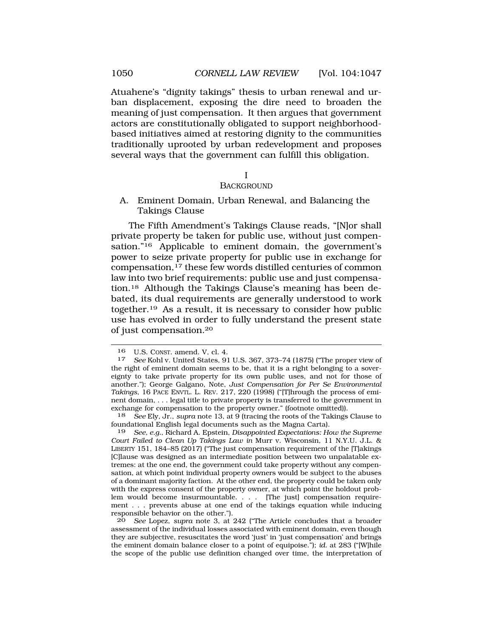Atuahene's "dignity takings" thesis to urban renewal and urban displacement, exposing the dire need to broaden the meaning of just compensation. It then argues that government actors are constitutionally obligated to support neighborhoodbased initiatives aimed at restoring dignity to the communities traditionally uprooted by urban redevelopment and proposes several ways that the government can fulfill this obligation.

I

### **BACKGROUND**

A. Eminent Domain, Urban Renewal, and Balancing the Takings Clause

The Fifth Amendment's Takings Clause reads, "[N]or shall private property be taken for public use, without just compensation."<sup>16</sup> Applicable to eminent domain, the government's power to seize private property for public use in exchange for compensation,17 these few words distilled centuries of common law into two brief requirements: public use and just compensation.18 Although the Takings Clause's meaning has been debated, its dual requirements are generally understood to work together.19 As a result, it is necessary to consider how public use has evolved in order to fully understand the present state of just compensation.20

18 *See* Ely, Jr., *supra* note 13, at 9 (tracing the roots of the Takings Clause to foundational English legal documents such as the Magna Carta).

19 *See, e.g.*, Richard A. Epstein, *Disappointed Expectations: How the Supreme Court Failed to Clean Up Takings Law in* Murr v. Wisconsin, 11 N.Y.U. J.L. & LIBERTY 151, 184–85 (2017) ("The just compensation requirement of the [T]akings [C]lause was designed as an intermediate position between two unpalatable extremes: at the one end, the government could take property without any compensation, at which point individual property owners would be subject to the abuses of a dominant majority faction. At the other end, the property could be taken only with the express consent of the property owner, at which point the holdout problem would become insurmountable. . . . [The just] compensation requirement . . . prevents abuse at one end of the takings equation while inducing responsible behavior on the other.").

20 *See* Lopez, *supra* note 3, at 242 ("The Article concludes that a broader assessment of the individual losses associated with eminent domain, even though they are subjective, resuscitates the word 'just' in 'just compensation' and brings the eminent domain balance closer to a point of equipoise."); *id.* at 283 ("[W]hile the scope of the public use definition changed over time, the interpretation of

<sup>16</sup> U.S. CONST. amend. V, cl. 4. 17 *See* Kohl v. United States, 91 U.S. 367, 373–74 (1875) ("The proper view of the right of eminent domain seems to be, that it is a right belonging to a sovereignty to take private property for its own public uses, and not for those of another."); George Galgano, Note, *Just Compensation for Per Se Environmental Takings*, 16 PACE ENVTL. L. REV. 217, 220 (1998) ("[T]hrough the process of eminent domain, . . . legal title to private property is transferred to the government in exchange for compensation to the property owner." (footnote omitted)).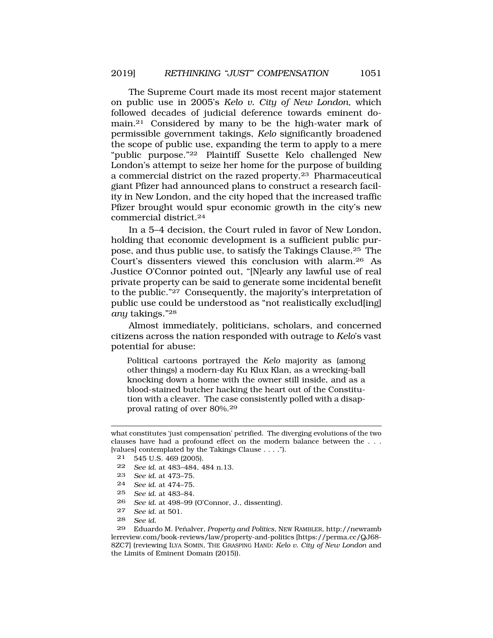The Supreme Court made its most recent major statement on public use in 2005's *Kelo v. City of New London*, which followed decades of judicial deference towards eminent domain.21 Considered by many to be the high-water mark of permissible government takings, *Kelo* significantly broadened the scope of public use, expanding the term to apply to a mere "public purpose."22 Plaintiff Susette Kelo challenged New London's attempt to seize her home for the purpose of building a commercial district on the razed property.23 Pharmaceutical giant Pfizer had announced plans to construct a research facility in New London, and the city hoped that the increased traffic Pfizer brought would spur economic growth in the city's new commercial district.24

In a 5–4 decision, the Court ruled in favor of New London, holding that economic development is a sufficient public purpose, and thus public use, to satisfy the Takings Clause.25 The Court's dissenters viewed this conclusion with alarm.26 As Justice O'Connor pointed out, "[N]early any lawful use of real private property can be said to generate some incidental benefit to the public."27 Consequently, the majority's interpretation of public use could be understood as "not realistically exclud[ing] *any* takings."28

Almost immediately, politicians, scholars, and concerned citizens across the nation responded with outrage to *Kelo*'s vast potential for abuse:

Political cartoons portrayed the *Kelo* majority as (among other things) a modern-day Ku Klux Klan, as a wrecking-ball knocking down a home with the owner still inside, and as a blood-stained butcher hacking the heart out of the Constitution with a cleaver. The case consistently polled with a disapproval rating of over 80%.<sup>29</sup>

- 23 *See id.* at 473–75.
- 24 *See id.* at 474–75.
- 25 *See id.* at 483–84.
- 26 *See id.* at 498–99 (O'Connor, J., dissenting).
- 27 *See id.* at 501.
- 28 *See id.*

29 Eduardo M. Peñalver, *Property and Politics*, NEW RAMBLER, http://newramb lerreview.com/book-reviews/law/property-and-politics [https://perma.cc/QJ68- 8ZC7] (reviewing ILYA SOMIN, THE GRASPING HAND: *Kelo v. City of New London* and the Limits of Eminent Domain (2015)).

what constitutes 'just compensation' petrified. The diverging evolutions of the two clauses have had a profound effect on the modern balance between the . . . [values] contemplated by the Takings Clause . . . .").

<sup>21 545</sup> U.S. 469 (2005).

<sup>22</sup> *See id.* at 483–484, 484 n.13.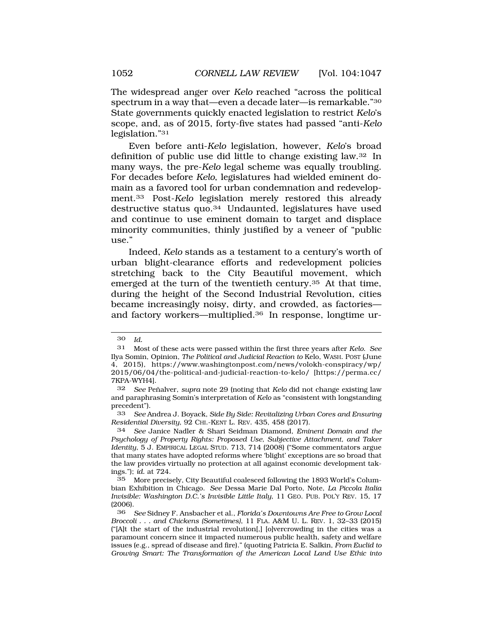The widespread anger over *Kelo* reached "across the political spectrum in a way that—even a decade later—is remarkable."30 State governments quickly enacted legislation to restrict *Kelo*'s scope, and, as of 2015, forty-five states had passed "anti-*Kelo*  legislation."31

Even before anti-*Kelo* legislation, however, *Kelo*'s broad definition of public use did little to change existing law.32 In many ways, the pre-*Kelo* legal scheme was equally troubling. For decades before *Kelo*, legislatures had wielded eminent domain as a favored tool for urban condemnation and redevelopment.33 Post-*Kelo* legislation merely restored this already destructive status quo.34 Undaunted, legislatures have used and continue to use eminent domain to target and displace minority communities, thinly justified by a veneer of "public use."

Indeed, *Kelo* stands as a testament to a century's worth of urban blight-clearance efforts and redevelopment policies stretching back to the City Beautiful movement, which emerged at the turn of the twentieth century.<sup>35</sup> At that time, during the height of the Second Industrial Revolution, cities became increasingly noisy, dirty, and crowded, as factories and factory workers—multiplied.36 In response, longtime ur-

<sup>30</sup> *Id.* 

<sup>31</sup> Most of these acts were passed within the first three years after *Kelo*. *See*  Ilya Somin, Opinion, *The Political and Judicial Reaction to* Kelo, WASH. POST (June 4, 2015), https://www.washingtonpost.com/news/volokh-conspiracy/wp/ 2015/06/04/the-political-and-judicial-reaction-to-kelo/ [https://perma.cc/ 7KPA-WYH4].

<sup>32</sup> *See* Peñalver, *supra* note 29 (noting that *Kelo* did not change existing law and paraphrasing Somin's interpretation of *Kelo* as "consistent with longstanding precedent").

<sup>33</sup> *See* Andrea J. Boyack, *Side By Side: Revitalizing Urban Cores and Ensuring Residential Diversity*, 92 CHI.-KENT L. REV. 435, 458 (2017).

<sup>34</sup> *See* Janice Nadler & Shari Seidman Diamond, *Eminent Domain and the Psychology of Property Rights: Proposed Use, Subjective Attachment, and Taker Identity*, 5 J. EMPIRICAL LEGAL STUD. 713, 714 (2008) ("Some commentators argue that many states have adopted reforms where 'blight' exceptions are so broad that the law provides virtually no protection at all against economic development takings."); *id.* at 724.

<sup>35</sup> More precisely, City Beautiful coalesced following the 1893 World's Columbian Exhibition in Chicago. *See* Dessa Marie Dal Porto, Note, *La Piccola Italia Invisible: Washington D.C.'s Invisible Little Italy*, 11 GEO. PUB. POL'Y REV. 15, 17 (2006).

<sup>36</sup> *See* Sidney F. Ansbacher et al., *Florida's Downtowns Are Free to Grow Local Broccoli . . . and Chickens (Sometimes)*, 11 FLA. A&M U. L. REV. 1, 32–33 (2015) ("[A]t the start of the industrial revolution[,] [o]vercrowding in the cities was a paramount concern since it impacted numerous public health, safety and welfare issues (e.g., spread of disease and fire)." (quoting Patricia E. Salkin, *From Euclid to Growing Smart: The Transformation of the American Local Land Use Ethic into*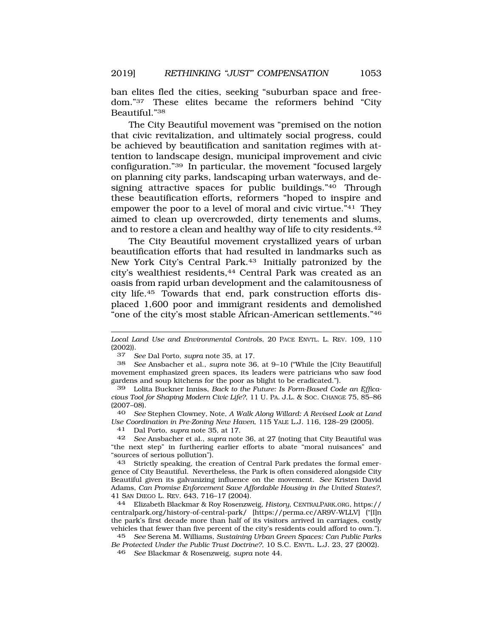ban elites fled the cities, seeking "suburban space and freedom."37 These elites became the reformers behind "City Beautiful."38

The City Beautiful movement was "premised on the notion that civic revitalization, and ultimately social progress, could be achieved by beautification and sanitation regimes with attention to landscape design, municipal improvement and civic configuration."39 In particular, the movement "focused largely on planning city parks, landscaping urban waterways, and designing attractive spaces for public buildings."40 Through these beautification efforts, reformers "hoped to inspire and empower the poor to a level of moral and civic virtue.<sup>"41</sup> They aimed to clean up overcrowded, dirty tenements and slums, and to restore a clean and healthy way of life to city residents.42

The City Beautiful movement crystallized years of urban beautification efforts that had resulted in landmarks such as New York City's Central Park.43 Initially patronized by the city's wealthiest residents,44 Central Park was created as an oasis from rapid urban development and the calamitousness of city life.45 Towards that end, park construction efforts displaced 1,600 poor and immigrant residents and demolished "one of the city's most stable African-American settlements."46

40 *See* Stephen Clowney, Note, *A Walk Along Willard: A Revised Look at Land Use Coordination in Pre-Zoning New Haven*, 115 YALE L.J. 116, 128–29 (2005).

41 Dal Porto, *supra* note 35, at 17.

43 Strictly speaking, the creation of Central Park predates the formal emergence of City Beautiful. Nevertheless, the Park is often considered alongside City Beautiful given its galvanizing influence on the movement. *See* Kristen David Adams, *Can Promise Enforcement Save Affordable Housing in the United States?*, 41 SAN DIEGO L. REV. 643, 716–17 (2004).

44 Elizabeth Blackmar & Roy Rosenzweig, *History*, CENTRALPARK.ORG, https:// centralpark.org/history-of-central-park/ [https://perma.cc/AR9V-WLLV] ("[I]n the park's first decade more than half of its visitors arrived in carriages, costly vehicles that fewer than five percent of the city's residents could afford to own.").

45 *See* Serena M. Williams, *Sustaining Urban Green Spaces: Can Public Parks Be Protected Under the Public Trust Doctrine?*, 10 S.C. ENVTL. L.J. 23, 27 (2002).

46 *See* Blackmar & Rosenzweig, *supra* note 44.

*Local Land Use and Environmental Controls*, 20 PACE ENVTL. L. REV. 109, 110  $\frac{(2002)}{37}$ .

<sup>37</sup> *See* Dal Porto, *supra* note 35, at 17.

<sup>38</sup> *See* Ansbacher et al., *supra* note 36, at 9–10 ("While the [City Beautiful] movement emphasized green spaces, its leaders were patricians who saw food gardens and soup kitchens for the poor as blight to be eradicated.").

Lolita Buckner Inniss, *Back to the Future: Is Form-Based Code an Efficacious Tool for Shaping Modern Civic Life?*, 11 U. PA. J.L. & SOC. CHANGE 75, 85–86 (2007–08).

<sup>42</sup> *See* Ansbacher et al., *supra* note 36, at 27 (noting that City Beautiful was "the next step" in furthering earlier efforts to abate "moral nuisances" and "sources of serious pollution").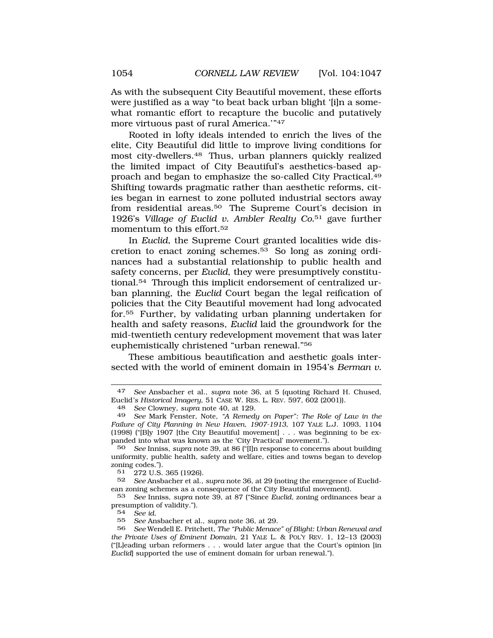As with the subsequent City Beautiful movement, these efforts were justified as a way "to beat back urban blight '[i]n a somewhat romantic effort to recapture the bucolic and putatively more virtuous past of rural America."<sup>47</sup>

Rooted in lofty ideals intended to enrich the lives of the elite, City Beautiful did little to improve living conditions for most city-dwellers.48 Thus, urban planners quickly realized the limited impact of City Beautiful's aesthetics-based approach and began to emphasize the so-called City Practical.49 Shifting towards pragmatic rather than aesthetic reforms, cities began in earnest to zone polluted industrial sectors away from residential areas.50 The Supreme Court's decision in 1926's *Village of Euclid v. Ambler Realty Co.*51 gave further momentum to this effort.52

In *Euclid*, the Supreme Court granted localities wide discretion to enact zoning schemes.53 So long as zoning ordinances had a substantial relationship to public health and safety concerns, per *Euclid*, they were presumptively constitutional.54 Through this implicit endorsement of centralized urban planning, the *Euclid* Court began the legal reification of policies that the City Beautiful movement had long advocated for.55 Further, by validating urban planning undertaken for health and safety reasons, *Euclid* laid the groundwork for the mid-twentieth century redevelopment movement that was later euphemistically christened "urban renewal."56

These ambitious beautification and aesthetic goals intersected with the world of eminent domain in 1954's *Berman v.* 

 $51 \quad 272 \text{ U.S. } 365 \text{ (1926)}.$ <br> $52 \quad \text{See } \text{Answer } \text{et al.}$ 

52 *See* Ansbacher et al., *supra* note 36, at 29 (noting the emergence of Euclidean zoning schemes as a consequence of the City Beautiful movement).<br>53 See Inniss, supra note 39, at 87 ("Since Euclid, zoning ordinance

53 *See* Inniss, *supra* note 39, at 87 ("Since *Euclid*, zoning ordinances bear a presumption of validity.").

54 *See id.* 

55 *See* Ansbacher et al., *supra* note 36, at 29.

<sup>47</sup> *See* Ansbacher et al., *supra* note 36, at 5 (quoting Richard H. Chused, Euclid*'s Historical Imagery*, 51 CASE W. RES. L. REV. 597, 602 (2001)).

<sup>48</sup> *See* Clowney, *supra* note 40, at 129.

<sup>49</sup> *See* Mark Fenster, Note, *"A Remedy on Paper": The Role of Law in the Failure of City Planning in New Haven, 1907-1913*, 107 YALE L.J. 1093, 1104 (1998) ("[B]y 1907 [the City Beautiful movement] . . . was beginning to be expanded into what was known as the 'City Practical' movement.").

<sup>50</sup> *See* Inniss, *supra* note 39, at 86 ("[I]n response to concerns about building uniformity, public health, safety and welfare, cities and towns began to develop zoning codes.").

<sup>56</sup> *See* Wendell E. Pritchett, *The "Public Menace" of Blight: Urban Renewal and the Private Uses of Eminent Domain*, 21 YALE L. & POL'Y REV. 1, 12–13 (2003) ("[L]eading urban reformers . . . would later argue that the Court's opinion [in *Euclid*] supported the use of eminent domain for urban renewal.").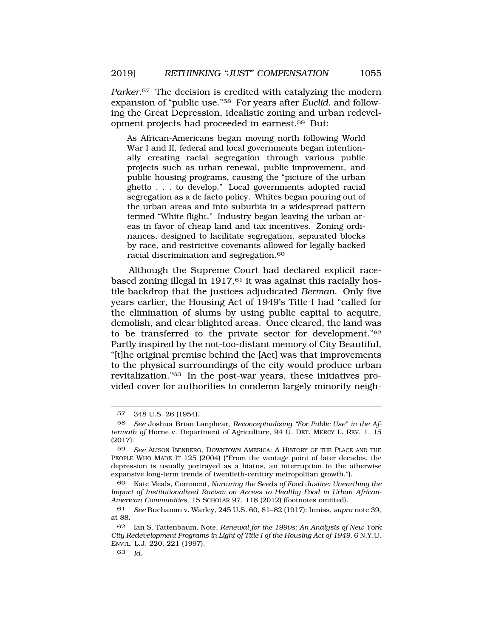*Parker*.57 The decision is credited with catalyzing the modern expansion of "public use."58 For years after *Euclid*, and following the Great Depression, idealistic zoning and urban redevelopment projects had proceeded in earnest.59 But:

As African-Americans began moving north following World War I and II, federal and local governments began intentionally creating racial segregation through various public projects such as urban renewal, public improvement, and public housing programs, causing the "picture of the urban ghetto . . . to develop." Local governments adopted racial segregation as a de facto policy. Whites began pouring out of the urban areas and into suburbia in a widespread pattern termed "White flight." Industry began leaving the urban areas in favor of cheap land and tax incentives. Zoning ordinances, designed to facilitate segregation, separated blocks by race, and restrictive covenants allowed for legally backed racial discrimination and segregation.<sup>60</sup>

Although the Supreme Court had declared explicit racebased zoning illegal in  $1917<sub>0</sub>$  it was against this racially hostile backdrop that the justices adjudicated *Berman*. Only five years earlier, the Housing Act of 1949's Title I had "called for the elimination of slums by using public capital to acquire, demolish, and clear blighted areas. Once cleared, the land was to be transferred to the private sector for development."62 Partly inspired by the not-too-distant memory of City Beautiful, "[t]he original premise behind the [Act] was that improvements to the physical surroundings of the city would produce urban revitalization."63 In the post-war years, these initiatives provided cover for authorities to condemn largely minority neigh-

60 Kate Meals, Comment, *Nurturing the Seeds of Food Justice: Unearthing the Impact of Institutionalized Racism on Access to Healthy Food in Urban African-American Communities*, 15 SCHOLAR 97, 118 (2012) (footnotes omitted).

<sup>57 348</sup> U.S. 26 (1954).

<sup>58</sup> *See* Joshua Brian Lanphear, *Reconceptualizing "For Public Use" in the Aftermath of* Horne v. Department of Agriculture, 94 U. DET. MERCY L. REV. 1, 15 (2017).

<sup>59</sup> *See* ALISON ISENBERG, DOWNTOWN AMERICA: A HISTORY OF THE PLACE AND THE PEOPLE WHO MADE IT 125 (2004) ("From the vantage point of later decades, the depression is usually portrayed as a hiatus, an interruption to the otherwise expansive long-term trends of twentieth-century metropolitan growth.").

<sup>61</sup> *See* Buchanan v. Warley, 245 U.S. 60, 81–82 (1917); Inniss, *supra* note 39, at 88.

<sup>62</sup> Ian S. Tattenbaum, Note, *Renewal for the 1990s: An Analysis of New York City Redevelopment Programs in Light of Title I of the Housing Act of 1949*, 6 N.Y.U. ENVTL. L.J. 220, 221 (1997).

<sup>63</sup> *Id.*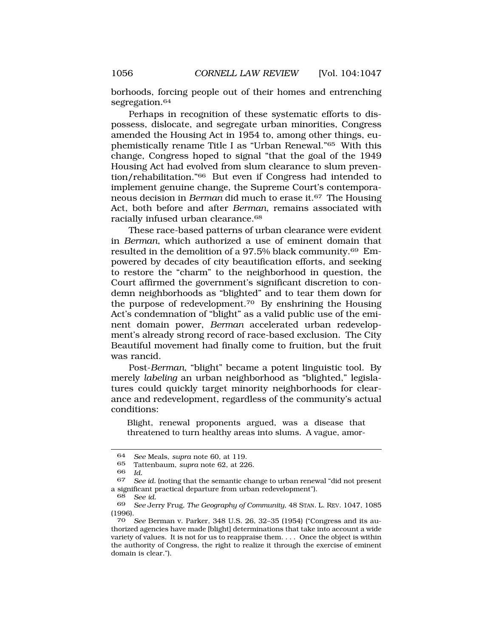borhoods, forcing people out of their homes and entrenching segregation.<sup>64</sup>

Perhaps in recognition of these systematic efforts to dispossess, dislocate, and segregate urban minorities, Congress amended the Housing Act in 1954 to, among other things, euphemistically rename Title I as "Urban Renewal."65 With this change, Congress hoped to signal "that the goal of the 1949 Housing Act had evolved from slum clearance to slum prevention/rehabilitation."66 But even if Congress had intended to implement genuine change, the Supreme Court's contemporaneous decision in *Berman* did much to erase it.67 The Housing Act, both before and after *Berman*, remains associated with racially infused urban clearance.68

These race-based patterns of urban clearance were evident in *Berman*, which authorized a use of eminent domain that resulted in the demolition of a 97.5% black community.69 Empowered by decades of city beautification efforts, and seeking to restore the "charm" to the neighborhood in question, the Court affirmed the government's significant discretion to condemn neighborhoods as "blighted" and to tear them down for the purpose of redevelopment.70 By enshrining the Housing Act's condemnation of "blight" as a valid public use of the eminent domain power, *Berman* accelerated urban redevelopment's already strong record of race-based exclusion. The City Beautiful movement had finally come to fruition, but the fruit was rancid.

Post-*Berman*, "blight" became a potent linguistic tool. By merely *labeling* an urban neighborhood as "blighted," legislatures could quickly target minority neighborhoods for clearance and redevelopment, regardless of the community's actual conditions:

Blight, renewal proponents argued, was a disease that threatened to turn healthy areas into slums. A vague, amor-

<sup>64</sup> *See* Meals, *supra* note 60, at 119.

<sup>65</sup> Tattenbaum, *supra* note 62, at 226.

<sup>66</sup> *Id.* 

<sup>67</sup> *See id.* (noting that the semantic change to urban renewal "did not present a significant practical departure from urban redevelopment").

<sup>68</sup> *See id.* 

<sup>69</sup> *See* Jerry Frug, *The Geography of Community*, 48 STAN. L. REV. 1047, 1085 (1996).

<sup>70</sup> *See* Berman v. Parker, 348 U.S. 26, 32–35 (1954) ("Congress and its authorized agencies have made [blight] determinations that take into account a wide variety of values. It is not for us to reappraise them. . . . Once the object is within the authority of Congress, the right to realize it through the exercise of eminent domain is clear.").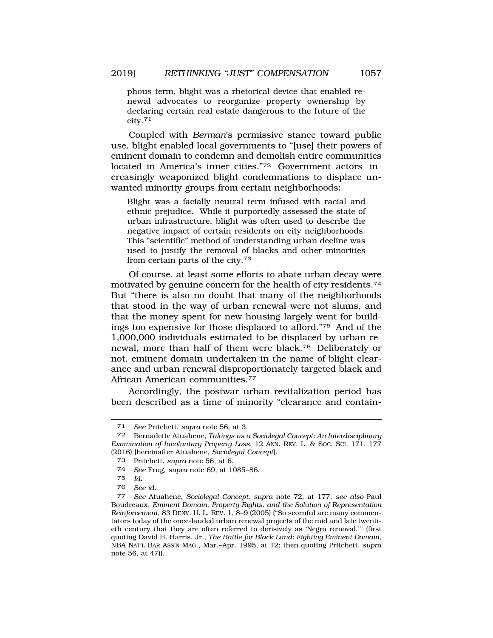phous term, blight was a rhetorical device that enabled renewal advocates to reorganize property ownership by declaring certain real estate dangerous to the future of the city.71

Coupled with *Berman*'s permissive stance toward public use, blight enabled local governments to "[use] their powers of eminent domain to condemn and demolish entire communities located in America's inner cities."72 Government actors increasingly weaponized blight condemnations to displace unwanted minority groups from certain neighborhoods:

Blight was a facially neutral term infused with racial and ethnic prejudice. While it purportedly assessed the state of urban infrastructure, blight was often used to describe the negative impact of certain residents on city neighborhoods. This "scientific" method of understanding urban decline was used to justify the removal of blacks and other minorities from certain parts of the city.<sup>73</sup>

Of course, at least some efforts to abate urban decay were motivated by genuine concern for the health of city residents.74 But "there is also no doubt that many of the neighborhoods that stood in the way of urban renewal were not slums, and that the money spent for new housing largely went for buildings too expensive for those displaced to afford."75 And of the 1,000,000 individuals estimated to be displaced by urban renewal, more than half of them were black.76 Deliberately or not, eminent domain undertaken in the name of blight clearance and urban renewal disproportionately targeted black and African American communities.77

Accordingly, the postwar urban revitalization period has been described as a time of minority "clearance and contain-

<sup>71</sup> *See* Pritchett, *supra* note 56, at 3.

<sup>72</sup> Bernadette Atuahene, *Takings as a Sociolegal Concept: An Interdisciplinary Examination of Involuntary Property Loss*, 12 ANN. REV. L. & SOC. SCI. 171, 177 (2016) [hereinafter Atuahene, *Sociolegal Concept*].

<sup>73</sup> Pritchett, *supra* note 56, at 6.

<sup>74</sup> *See* Frug, *supra* note 69, at 1085–86.

<sup>75</sup> *Id.* 

<sup>76</sup> *See id.* 

<sup>77</sup> *See* Atuahene, *Sociolegal Concept*, *supra* note 72, at 177; *see also* Paul Boudreaux, *Eminent Domain, Property Rights, and the Solution of Representation Reinforcement*, 83 DENV. U. L. REV. 1, 8–9 (2005) ("So scornful are many commentators today of the once-lauded urban renewal projects of the mid and late twentieth century that they are often referred to derisively as 'Negro removal.'" (first quoting David H. Harris, Jr., *The Battle for Black Land: Fighting Eminent Domain*, NBA NAT'L BAR ASS'N MAG., Mar.–Apr. 1995, at 12; then quoting Pritchett, *supra*  note 56, at 47)).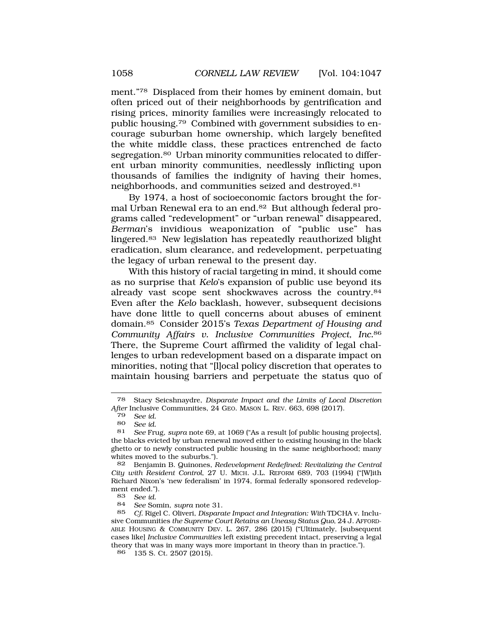ment."78 Displaced from their homes by eminent domain, but often priced out of their neighborhoods by gentrification and rising prices, minority families were increasingly relocated to public housing.79 Combined with government subsidies to encourage suburban home ownership, which largely benefited the white middle class, these practices entrenched de facto segregation.<sup>80</sup> Urban minority communities relocated to different urban minority communities, needlessly inflicting upon thousands of families the indignity of having their homes, neighborhoods, and communities seized and destroyed.81

By 1974, a host of socioeconomic factors brought the formal Urban Renewal era to an end.82 But although federal programs called "redevelopment" or "urban renewal" disappeared, *Berman*'s invidious weaponization of "public use" has lingered.83 New legislation has repeatedly reauthorized blight eradication, slum clearance, and redevelopment, perpetuating the legacy of urban renewal to the present day.

With this history of racial targeting in mind, it should come as no surprise that *Kelo*'s expansion of public use beyond its already vast scope sent shockwaves across the country.84 Even after the *Kelo* backlash, however, subsequent decisions have done little to quell concerns about abuses of eminent domain.85 Consider 2015's *Texas Department of Housing and Community Affairs v. Inclusive Communities Project, Inc.*<sup>86</sup> There, the Supreme Court affirmed the validity of legal challenges to urban redevelopment based on a disparate impact on minorities, noting that "[l]ocal policy discretion that operates to maintain housing barriers and perpetuate the status quo of

<sup>78</sup> Stacy Seicshnaydre, *Disparate Impact and the Limits of Local Discretion After* Inclusive Communities, 24 GEO. MASON L. REV. 663, 698 (2017).

<sup>79</sup> *See id.* 

<sup>80</sup> *See id.* 

<sup>81</sup> *See* Frug, *supra* note 69, at 1069 ("As a result [of public housing projects], the blacks evicted by urban renewal moved either to existing housing in the black ghetto or to newly constructed public housing in the same neighborhood; many whites moved to the suburbs.").

<sup>82</sup> Benjamin B. Quinones, *Redevelopment Redefined: Revitalizing the Central City with Resident Control*, 27 U. MICH. J.L. REFORM 689, 703 (1994) ("[W]ith Richard Nixon's 'new federalism' in 1974, formal federally sponsored redevelopment ended.").

<sup>83</sup> *See id.* 

<sup>84</sup> *See* Somin, *supra* note 31.

<sup>85</sup> *Cf.* Rigel C. Oliveri, *Disparate Impact and Integration: With* TDCHA v. Inclusive Communities *the Supreme Court Retains an Uneasy Status Quo*, 24 J. AFFORD-ABLE HOUSING & COMMUNITY DEV. L. 267, 286 (2015) ("Ultimately, [subsequent cases like] *Inclusive Communities* left existing precedent intact, preserving a legal theory that was in many ways more important in theory than in practice.").

<sup>86 135</sup> S. Ct. 2507 (2015).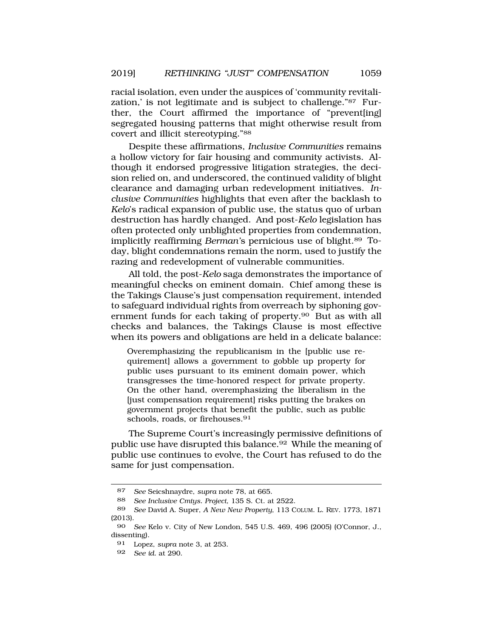racial isolation, even under the auspices of 'community revitalization,' is not legitimate and is subject to challenge."87 Further, the Court affirmed the importance of "prevent[ing] segregated housing patterns that might otherwise result from covert and illicit stereotyping."88

Despite these affirmations, *Inclusive Communities* remains a hollow victory for fair housing and community activists. Although it endorsed progressive litigation strategies, the decision relied on, and underscored, the continued validity of blight clearance and damaging urban redevelopment initiatives. *Inclusive Communities* highlights that even after the backlash to *Kelo*'s radical expansion of public use, the status quo of urban destruction has hardly changed. And post-*Kelo* legislation has often protected only unblighted properties from condemnation, implicitly reaffirming *Berman'*s pernicious use of blight.89 Today, blight condemnations remain the norm, used to justify the razing and redevelopment of vulnerable communities.

All told, the post-*Kelo* saga demonstrates the importance of meaningful checks on eminent domain. Chief among these is the Takings Clause's just compensation requirement, intended to safeguard individual rights from overreach by siphoning government funds for each taking of property.<sup>90</sup> But as with all checks and balances, the Takings Clause is most effective when its powers and obligations are held in a delicate balance:

Overemphasizing the republicanism in the [public use requirement] allows a government to gobble up property for public uses pursuant to its eminent domain power, which transgresses the time-honored respect for private property. On the other hand, overemphasizing the liberalism in the [just compensation requirement] risks putting the brakes on government projects that benefit the public, such as public schools, roads, or firehouses.<sup>91</sup>

The Supreme Court's increasingly permissive definitions of public use have disrupted this balance.<sup>92</sup> While the meaning of public use continues to evolve, the Court has refused to do the same for just compensation.

<sup>87</sup> *See* Seicshnaydre, *supra* note 78, at 665.

<sup>88</sup> *See Inclusive Cmtys. Project*, 135 S. Ct. at 2522.

<sup>89</sup> *See* David A. Super, *A New New Property*, 113 COLUM. L. REV. 1773, 1871 (2013).

<sup>90</sup> *See* Kelo v. City of New London, 545 U.S. 469, 496 (2005) (O'Connor, J., dissenting).

<sup>91</sup> Lopez, *supra* note 3, at 253.

<sup>92</sup> *See id.* at 290.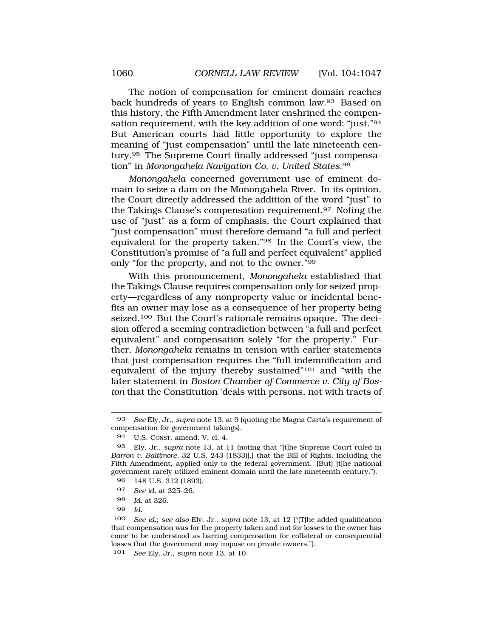The notion of compensation for eminent domain reaches back hundreds of years to English common law.93 Based on this history, the Fifth Amendment later enshrined the compensation requirement, with the key addition of one word: "just."94 But American courts had little opportunity to explore the meaning of "just compensation" until the late nineteenth century.95 The Supreme Court finally addressed "just compensation" in *Monongahela Navigation Co. v. United States*.96

*Monongahela* concerned government use of eminent domain to seize a dam on the Monongahela River. In its opinion, the Court directly addressed the addition of the word "just" to the Takings Clause's compensation requirement.97 Noting the use of "just" as a form of emphasis, the Court explained that "just compensation" must therefore demand "a full and perfect equivalent for the property taken."98 In the Court's view, the Constitution's promise of "a full and perfect equivalent" applied only "for the property, and not to the owner."99

With this pronouncement, *Monongahela* established that the Takings Clause requires compensation only for seized property—regardless of any nonproperty value or incidental benefits an owner may lose as a consequence of her property being seized.<sup>100</sup> But the Court's rationale remains opaque. The decision offered a seeming contradiction between "a full and perfect equivalent" and compensation solely "for the property." Further, *Monongahela* remains in tension with earlier statements that just compensation requires the "full indemnification and equivalent of the injury thereby sustained"101 and "with the later statement in *Boston Chamber of Commerce v. City of Boston* that the Constitution 'deals with persons, not with tracts of

99 *Id.* 

<sup>93</sup> *See* Ely, Jr., *supra* note 13, at 9 (quoting the Magna Carta's requirement of compensation for government takings).

<sup>94</sup> U.S. CONST. amend. V, cl. 4.

<sup>95</sup> Ely, Jr., *supra* note 13, at 11 (noting that "[t]he Supreme Court ruled in *Barron v. Baltimore*, 32 U.S. 243 (1833)[,] that the Bill of Rights, including the Fifth Amendment, applied only to the federal government. [But] [t]he national government rarely utilized eminent domain until the late nineteenth century.").

<sup>96 148</sup> U.S. 312 (1893).

<sup>97</sup> *See id.* at 325–26.

<sup>98</sup> *Id.* at 326.

<sup>100</sup> *See id.*; *see also* Ely, Jr., *supra* note 13, at 12 ("[T]he added qualification that compensation was for the property taken and not for losses to the owner has come to be understood as barring compensation for collateral or consequential losses that the government may impose on private owners.").

<sup>101</sup> *See* Ely, Jr., *supra* note 13, at 10.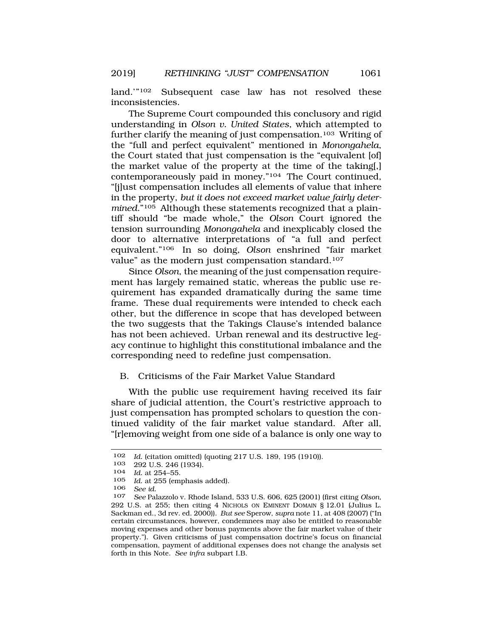land."<sup>102</sup> Subsequent case law has not resolved these inconsistencies.

The Supreme Court compounded this conclusory and rigid understanding in *Olson v. United States*, which attempted to further clarify the meaning of just compensation.<sup>103</sup> Writing of the "full and perfect equivalent" mentioned in *Monongahela*, the Court stated that just compensation is the "equivalent [of] the market value of the property at the time of the taking[,] contemporaneously paid in money."104 The Court continued, "[j]ust compensation includes all elements of value that inhere in the property, *but it does not exceed market value fairly determined*."105 Although these statements recognized that a plaintiff should "be made whole," the *Olson* Court ignored the tension surrounding *Monongahela* and inexplicably closed the door to alternative interpretations of "a full and perfect equivalent."106 In so doing, *Olson* enshrined "fair market value" as the modern just compensation standard.<sup>107</sup>

Since *Olson*, the meaning of the just compensation requirement has largely remained static, whereas the public use requirement has expanded dramatically during the same time frame. These dual requirements were intended to check each other, but the difference in scope that has developed between the two suggests that the Takings Clause's intended balance has not been achieved. Urban renewal and its destructive legacy continue to highlight this constitutional imbalance and the corresponding need to redefine just compensation.

## B. Criticisms of the Fair Market Value Standard

With the public use requirement having received its fair share of judicial attention, the Court's restrictive approach to just compensation has prompted scholars to question the continued validity of the fair market value standard. After all, "[r]emoving weight from one side of a balance is only one way to

<sup>102</sup> *Id.* (citation omitted) (quoting 217 U.S. 189, 195 (1910)).

 $103$  292 U.S. 246 (1934).<br>104 *Id.* at 254–55.

<sup>104</sup> *Id.* at 254–55.

Id. at 255 (emphasis added).

<sup>106</sup> *See id.* 

<sup>107</sup> *See* Palazzolo v. Rhode Island, 533 U.S. 606, 625 (2001) (first citing *Olson*, 292 U.S. at 255; then citing 4 NICHOLS ON EMINENT DOMAIN § 12.01 (Julius L. Sackman ed., 3d rev. ed. 2000)). *But see* Sperow, *supra* note 11, at 408 (2007) ("In certain circumstances, however, condemnees may also be entitled to reasonable moving expenses and other bonus payments above the fair market value of their property."). Given criticisms of just compensation doctrine's focus on financial compensation, payment of additional expenses does not change the analysis set forth in this Note. *See infra* subpart I.B.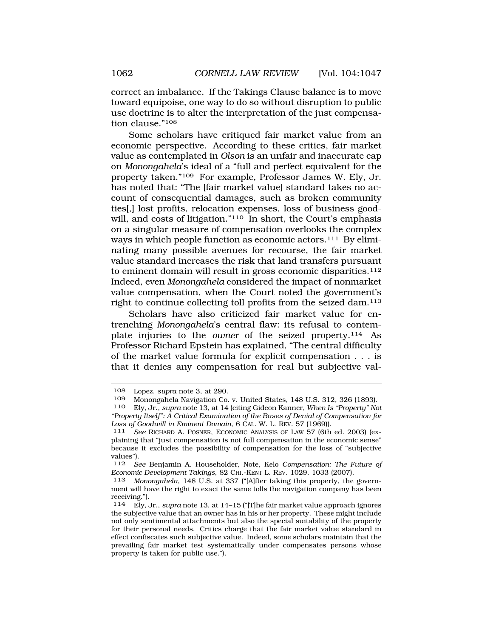correct an imbalance. If the Takings Clause balance is to move toward equipoise, one way to do so without disruption to public use doctrine is to alter the interpretation of the just compensation clause."108

Some scholars have critiqued fair market value from an economic perspective. According to these critics, fair market value as contemplated in *Olson* is an unfair and inaccurate cap on *Monongahela*'s ideal of a "full and perfect equivalent for the property taken."109 For example, Professor James W. Ely, Jr. has noted that: "The [fair market value] standard takes no account of consequential damages, such as broken community ties[,] lost profits, relocation expenses, loss of business goodwill, and costs of litigation."<sup>110</sup> In short, the Court's emphasis on a singular measure of compensation overlooks the complex ways in which people function as economic actors.<sup>111</sup> By eliminating many possible avenues for recourse, the fair market value standard increases the risk that land transfers pursuant to eminent domain will result in gross economic disparities.<sup>112</sup> Indeed, even *Monongahela* considered the impact of nonmarket value compensation, when the Court noted the government's right to continue collecting toll profits from the seized dam.113

Scholars have also criticized fair market value for entrenching *Monongahela*'s central flaw: its refusal to contemplate injuries to the *owner* of the seized property.114 As Professor Richard Epstein has explained, "The central difficulty of the market value formula for explicit compensation . . . is that it denies any compensation for real but subjective val-

<sup>108</sup> Lopez, *supra* note 3, at 290.

<sup>109</sup> Monongahela Navigation Co. v. United States, 148 U.S. 312, 326 (1893).<br>110 Ely. Jr., *supra* note 13, at 14 (citing Gideon Kanner, *When Is "Propertu" No* 

<sup>110</sup> Ely, Jr., *supra* note 13, at 14 (citing Gideon Kanner, *When Is "Property" Not "Property Itself": A Critical Examination of the Bases of Denial of Compensation for Loss of Goodwill in Eminent Domain*, 6 CAL. W. L. REV. 57 (1969)). 111 *See* RICHARD A. POSNER, ECONOMIC ANALYSIS OF LAW 57 (6th ed. 2003) (ex-

plaining that "just compensation is not full compensation in the economic sense" because it excludes the possibility of compensation for the loss of "subjective values").

<sup>112</sup> *See* Benjamin A. Householder, Note, Kelo *Compensation: The Future of Economic Development Takings*, 82 CHI.-KENT L. REV. 1029, 1033 (2007).

<sup>113</sup> *Monongahela*, 148 U.S. at 337 ("[A]fter taking this property, the government will have the right to exact the same tolls the navigation company has been receiving.").

<sup>114</sup> Ely, Jr., *supra* note 13, at 14–15 ("[T]he fair market value approach ignores the subjective value that an owner has in his or her property. These might include not only sentimental attachments but also the special suitability of the property for their personal needs. Critics charge that the fair market value standard in effect confiscates such subjective value. Indeed, some scholars maintain that the prevailing fair market test systematically under compensates persons whose property is taken for public use.").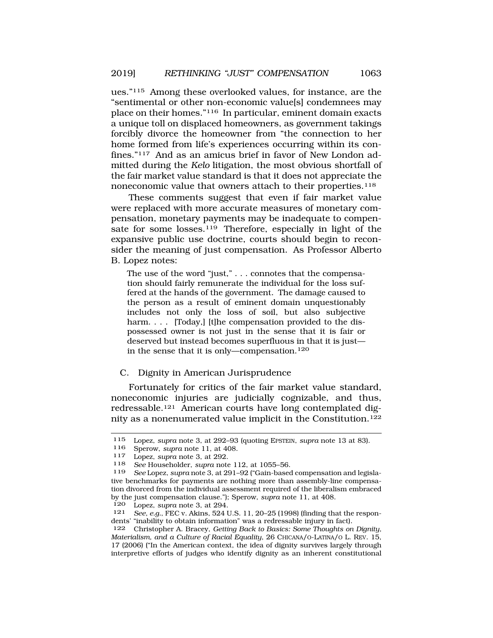ues."115 Among these overlooked values, for instance, are the "sentimental or other non-economic value[s] condemnees may place on their homes."116 In particular, eminent domain exacts a unique toll on displaced homeowners, as government takings forcibly divorce the homeowner from "the connection to her home formed from life's experiences occurring within its confines."117 And as an amicus brief in favor of New London admitted during the *Kelo* litigation, the most obvious shortfall of the fair market value standard is that it does not appreciate the noneconomic value that owners attach to their properties.<sup>118</sup>

These comments suggest that even if fair market value were replaced with more accurate measures of monetary compensation, monetary payments may be inadequate to compensate for some losses.<sup>119</sup> Therefore, especially in light of the expansive public use doctrine, courts should begin to reconsider the meaning of just compensation. As Professor Alberto B. Lopez notes:

The use of the word "just," . . . connotes that the compensation should fairly remunerate the individual for the loss suffered at the hands of the government. The damage caused to the person as a result of eminent domain unquestionably includes not only the loss of soil, but also subjective harm. . . . [Today,] [t]he compensation provided to the dispossessed owner is not just in the sense that it is fair or deserved but instead becomes superfluous in that it is just in the sense that it is only—compensation.<sup>120</sup>

## C. Dignity in American Jurisprudence

Fortunately for critics of the fair market value standard, noneconomic injuries are judicially cognizable, and thus, redressable.121 American courts have long contemplated dignity as a nonenumerated value implicit in the Constitution.122

<sup>115</sup> Lopez, *supra* note 3, at 292–93 (quoting EPSTEIN, *supra* note 13 at 83).

<sup>116</sup> Sperow, *supra* note 11, at 408. 117 Lopez, *supra* note 3, at 292.

<sup>118</sup> *See* Householder, *supra* note 112, at 1055–56.

<sup>119</sup> *See* Lopez, *supra* note 3, at 291–92 ("Gain-based compensation and legislative benchmarks for payments are nothing more than assembly-line compensation divorced from the individual assessment required of the liberalism embraced by the just compensation clause."); Sperow, *supra* note 11, at 408.

<sup>120</sup> Lopez, *supra* note 3, at 294.<br>121 *See e a* FEC v Akins 524 I

See, e.g., FEC v. Akins, 524 U.S. 11, 20-25 (1998) (finding that the respondents' "inability to obtain information" was a redressable injury in fact).

<sup>122</sup> Christopher A. Bracey, *Getting Back to Basics: Some Thoughts on Dignity, Materialism, and a Culture of Racial Equality*, 26 CHICANA/O-LATINA/O L. REV. 15, 17 (2006) ("In the American context, the idea of dignity survives largely through interpretive efforts of judges who identify dignity as an inherent constitutional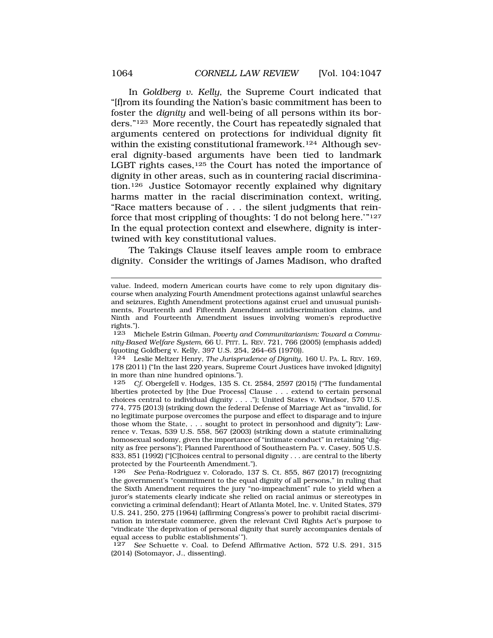In *Goldberg v. Kelly*, the Supreme Court indicated that "[f]rom its founding the Nation's basic commitment has been to foster the *dignity* and well-being of all persons within its borders."123 More recently, the Court has repeatedly signaled that arguments centered on protections for individual dignity fit within the existing constitutional framework.<sup>124</sup> Although several dignity-based arguments have been tied to landmark LGBT rights cases,  $125$  the Court has noted the importance of dignity in other areas, such as in countering racial discrimination.126 Justice Sotomayor recently explained why dignitary harms matter in the racial discrimination context, writing, "Race matters because of . . . the silent judgments that reinforce that most crippling of thoughts: 'I do not belong here.'" $127$ In the equal protection context and elsewhere, dignity is intertwined with key constitutional values.

The Takings Clause itself leaves ample room to embrace dignity. Consider the writings of James Madison, who drafted

124 Leslie Meltzer Henry, *The Jurisprudence of Dignity*, 160 U. PA. L. REV. 169, 178 (2011) ("In the last 220 years, Supreme Court Justices have invoked [dignity] in more than nine hundred opinions.").

125 *Cf.* Obergefell v. Hodges, 135 S. Ct. 2584, 2597 (2015) ("The fundamental liberties protected by [the Due Process] Clause . . . extend to certain personal choices central to individual dignity . . . ."); United States v. Windsor, 570 U.S. 774, 775 (2013) (striking down the federal Defense of Marriage Act as "invalid, for no legitimate purpose overcomes the purpose and effect to disparage and to injure those whom the State, . . . sought to protect in personhood and dignity"); Lawrence v. Texas, 539 U.S. 558, 567 (2003) (striking down a statute criminalizing homosexual sodomy, given the importance of "intimate conduct" in retaining "dignity as free persons"); Planned Parenthood of Southeastern Pa. v. Casey, 505 U.S. 833, 851 (1992) ("[C]hoices central to personal dignity . . . are central to the liberty protected by the Fourteenth Amendment.").

126 *See* Peña-Rodriguez v. Colorado, 137 S. Ct. 855, 867 (2017) (recognizing the government's "commitment to the equal dignity of all persons," in ruling that the Sixth Amendment requires the jury "no-impeachment" rule to yield when a juror's statements clearly indicate she relied on racial animus or stereotypes in convicting a criminal defendant); Heart of Atlanta Motel, Inc. v. United States, 379 U.S. 241, 250, 275 (1964) (affirming Congress's power to prohibit racial discrimination in interstate commerce, given the relevant Civil Rights Act's purpose to "vindicate 'the deprivation of personal dignity that surely accompanies denials of equal access to public establishments'").

127 *See* Schuette v. Coal. to Defend Affirmative Action, 572 U.S. 291, 315 (2014) (Sotomayor, J., dissenting).

value. Indeed, modern American courts have come to rely upon dignitary discourse when analyzing Fourth Amendment protections against unlawful searches and seizures, Eighth Amendment protections against cruel and unusual punishments, Fourteenth and Fifteenth Amendment antidiscrimination claims, and Ninth and Fourteenth Amendment issues involving women's reproductive rights.").

<sup>123</sup> Michele Estrin Gilman, *Poverty and Communitarianism: Toward a Community-Based Welfare System*, 66 U. PITT. L. REV. 721, 766 (2005) (emphasis added) (quoting Goldberg v. Kelly, 397 U.S. 254, 264–65 (1970)).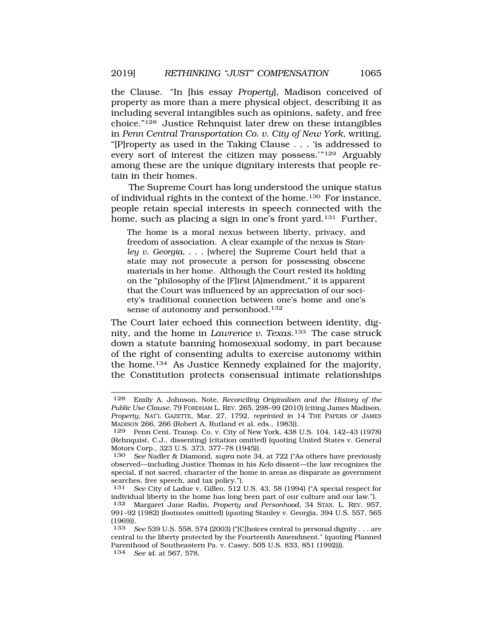the Clause. "In [his essay *Property*], Madison conceived of property as more than a mere physical object, describing it as including several intangibles such as opinions, safety, and free choice."128 Justice Rehnquist later drew on these intangibles in *Penn Central Transportation Co. v. City of New York*, writing, "[P]roperty as used in the Taking Clause . . . 'is addressed to every sort of interest the citizen may possess."<sup>129</sup> Arguably among these are the unique dignitary interests that people retain in their homes.

The Supreme Court has long understood the unique status of individual rights in the context of the home.130 For instance, people retain special interests in speech connected with the home, such as placing a sign in one's front yard.<sup>131</sup> Further,

The home is a moral nexus between liberty, privacy, and freedom of association. A clear example of the nexus is *Stanley v. Georgia*, . . . [where] the Supreme Court held that a state may not prosecute a person for possessing obscene materials in her home. Although the Court rested its holding on the "philosophy of the [F]irst [A]mendment," it is apparent that the Court was influenced by an appreciation of our society's traditional connection between one's home and one's sense of autonomy and personhood.<sup>132</sup>

The Court later echoed this connection between identity, dignity, and the home in *Lawrence v. Texas*.133 The case struck down a statute banning homosexual sodomy, in part because of the right of consenting adults to exercise autonomy within the home.134 As Justice Kennedy explained for the majority, the Constitution protects consensual intimate relationships

134 *See id.* at 567, 578.

<sup>128</sup> Emily A. Johnson, Note, *Reconciling Originalism and the History of the Public Use Clause*, 79 FORDHAM L. REV. 265, 298–99 (2010) (citing James Madison, *Property*, NAT'L GAZETTE, Mar. 27, 1792, *reprinted in* 14 THE PAPERS OF JAMES MADISON 266, 266 (Robert A. Rutland et al. eds., 1983)).

<sup>129</sup> Penn Cent. Transp. Co. v. City of New York, 438 U.S. 104, 142–43 (1978) (Rehnquist, C.J., dissenting) (citation omitted) (quoting United States v. General Motors Corp., 323 U.S. 373, 377–78 (1945)).

<sup>130</sup> *See* Nadler & Diamond, *supra* note 34, at 722 ("As others have previously observed—including Justice Thomas in his *Kelo* dissent—the law recognizes the special, if not sacred, character of the home in areas as disparate as government searches, free speech, and tax policy.").<br>131 See City of Ladue v. Gilleo, 512 l

See City of Ladue v. Gilleo, 512 U.S. 43, 58 (1994) ("A special respect for individual liberty in the home has long been part of our culture and our law.").

<sup>132</sup> Margaret Jane Radin, *Property and Personhood*, 34 STAN. L. REV. 957, 991–92 (1982) (footnotes omitted) (quoting Stanley v. Georgia, 394 U.S. 557, 565  $(1969)$ ).<br> $133$ 

<sup>133</sup> *See* 539 U.S. 558, 574 (2003) ("[C]hoices central to personal dignity . . . are central to the liberty protected by the Fourteenth Amendment." (quoting Planned Parenthood of Southeastern Pa. v. Casey, 505 U.S. 833, 851 (1992))).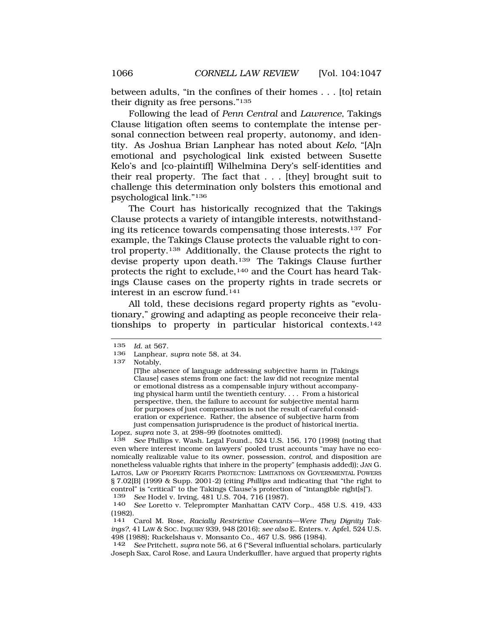between adults, "in the confines of their homes . . . [to] retain their dignity as free persons."135

Following the lead of *Penn Central* and *Lawrence*, Takings Clause litigation often seems to contemplate the intense personal connection between real property, autonomy, and identity. As Joshua Brian Lanphear has noted about *Kelo*, "[A]n emotional and psychological link existed between Susette Kelo's and [co-plaintiff] Wilhelmina Dery's self-identities and their real property. The fact that . . . [they] brought suit to challenge this determination only bolsters this emotional and psychological link."136

The Court has historically recognized that the Takings Clause protects a variety of intangible interests, notwithstanding its reticence towards compensating those interests.137 For example, the Takings Clause protects the valuable right to control property.138 Additionally, the Clause protects the right to devise property upon death.139 The Takings Clause further protects the right to exclude,140 and the Court has heard Takings Clause cases on the property rights in trade secrets or interest in an escrow fund.141

All told, these decisions regard property rights as "evolutionary," growing and adapting as people reconceive their relationships to property in particular historical contexts.142

Notably.

<sup>135</sup> *Id.* at 567.

<sup>136</sup> Lanphear, *supra* note 58, at 34.

<sup>[</sup>T]he absence of language addressing subjective harm in [Takings Clause] cases stems from one fact: the law did not recognize mental or emotional distress as a compensable injury without accompanying physical harm until the twentieth century. . . . From a historical perspective, then, the failure to account for subjective mental harm for purposes of just compensation is not the result of careful consideration or experience. Rather, the absence of subjective harm from just compensation jurisprudence is the product of historical inertia.

Lopez, *supra* note 3, at 298–99 (footnotes omitted).

<sup>138</sup> *See* Phillips v. Wash. Legal Found., 524 U.S. 156, 170 (1998) (noting that even where interest income on lawyers' pooled trust accounts "may have no economically realizable value to its owner, possession, *control*, and disposition are nonetheless valuable rights that inhere in the property" (emphasis added)); JAN G. LAITOS, LAW OF PROPERTY RIGHTS PROTECTION: LIMITATIONS ON GOVERNMENTAL POWERS § 7.02[B] (1999 & Supp. 2001-2) (citing *Phillips* and indicating that "the right to control" is "critical" to the Takings Clause's protection of "intangible right[s]").

<sup>139</sup> *See* Hodel v. Irving, 481 U.S. 704, 716 (1987).

<sup>140</sup> *See* Loretto v. Teleprompter Manhattan CATV Corp., 458 U.S. 419, 433 (1982).

<sup>141</sup> Carol M. Rose, *Racially Restrictive Covenants—Were They Dignity Takings?*, 41 LAW & SOC. INQUIRY 939, 948 (2016); *see also* E. Enters. v. Apfel, 524 U.S. 498 (1988); Ruckelshaus v. Monsanto Co., 467 U.S. 986 (1984).

<sup>142</sup> *See* Pritchett, *supra* note 56, at 6 ("Several influential scholars, particularly Joseph Sax, Carol Rose, and Laura Underkuffler, have argued that property rights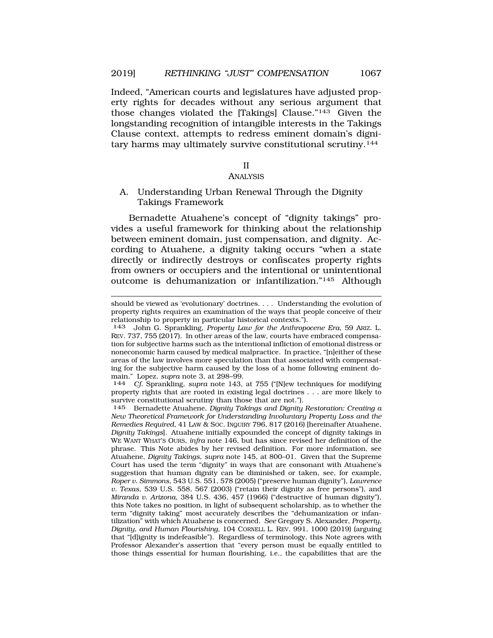Indeed, "American courts and legislatures have adjusted property rights for decades without any serious argument that those changes violated the [Takings] Clause."143 Given the longstanding recognition of intangible interests in the Takings Clause context, attempts to redress eminent domain's dignitary harms may ultimately survive constitutional scrutiny.144

#### II

#### ANALYSIS

A. Understanding Urban Renewal Through the Dignity Takings Framework

Bernadette Atuahene's concept of "dignity takings" provides a useful framework for thinking about the relationship between eminent domain, just compensation, and dignity. According to Atuahene, a dignity taking occurs "when a state directly or indirectly destroys or confiscates property rights from owners or occupiers and the intentional or unintentional outcome is dehumanization or infantilization."145 Although

property rights that are rooted in existing legal doctrines . . . are more likely to survive constitutional scrutiny than those that are not.").

145 Bernadette Atuahene, *Dignity Takings and Dignity Restoration: Creating a New Theoretical Framework for Understanding Involuntary Property Loss and the Remedies Required*, 41 LAW & SOC. INQUIRY 796, 817 (2016) [hereinafter Atuahene, *Dignity Takings*]. Atuahene initially expounded the concept of dignity takings in WE WANT WHAT'S OURS, *infra* note 146, but has since revised her definition of the phrase. This Note abides by her revised definition. For more information, see Atuahene, *Dignity Takings*, *supra* note 145, at 800–01. Given that the Supreme Court has used the term "dignity" in ways that are consonant with Atuahene's suggestion that human dignity can be diminished or taken, see, for example, *Roper v. Simmons*, 543 U.S. 551, 578 (2005) ("preserve human dignity"), *Lawrence v. Texas*, 539 U.S. 558, 567 (2003) ("retain their dignity as free persons"), and *Miranda v. Arizona*, 384 U.S. 436, 457 (1966) ("destructive of human dignity"), this Note takes no position, in light of subsequent scholarship, as to whether the term "dignity taking" most accurately describes the "dehumanization or infantilization" with which Atuahene is concerned. *See* Gregory S. Alexander, *Property, Dignity, and Human Flourishing*, 104 CORNELL L. REV. 991, 1000 (2019) (arguing that "[d]ignity is indefeasible"). Regardless of terminology, this Note agrees with Professor Alexander's assertion that "every person must be equally entitled to those things essential for human flourishing, i.e., the capabilities that are the

should be viewed as 'evolutionary' doctrines. . . . Understanding the evolution of property rights requires an examination of the ways that people conceive of their relationship to property in particular historical contexts.").

<sup>143</sup> John G. Sprankling, *Property Law for the Anthropocene Era*, 59 ARIZ. L. REV. 737, 755 (2017). In other areas of the law, courts have embraced compensation for subjective harms such as the intentional infliction of emotional distress or noneconomic harm caused by medical malpractice. In practice, "[n]either of these areas of the law involves more speculation than that associated with compensating for the subjective harm caused by the loss of a home following eminent domain." Lopez, *supra* note 3, at 298–99. 144 *Cf.* Sprankling, *supra* note 143, at 755 ("[N]ew techniques for modifying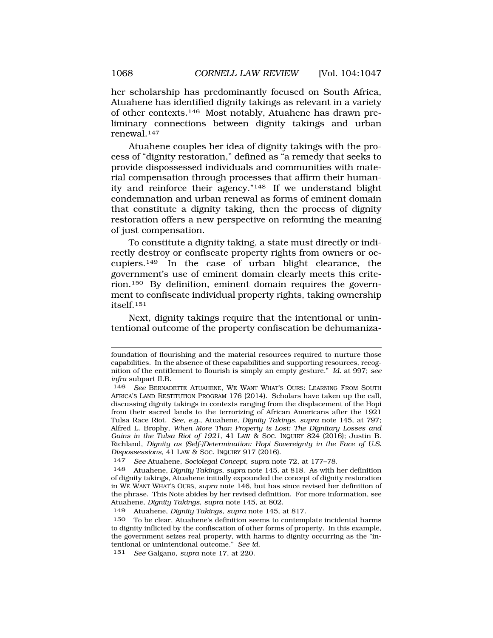her scholarship has predominantly focused on South Africa, Atuahene has identified dignity takings as relevant in a variety of other contexts.146 Most notably, Atuahene has drawn preliminary connections between dignity takings and urban renewal.147

Atuahene couples her idea of dignity takings with the process of "dignity restoration," defined as "a remedy that seeks to provide dispossessed individuals and communities with material compensation through processes that affirm their humanity and reinforce their agency."148 If we understand blight condemnation and urban renewal as forms of eminent domain that constitute a dignity taking, then the process of dignity restoration offers a new perspective on reforming the meaning of just compensation.

To constitute a dignity taking, a state must directly or indirectly destroy or confiscate property rights from owners or occupiers.149 In the case of urban blight clearance, the government's use of eminent domain clearly meets this criterion.150 By definition, eminent domain requires the government to confiscate individual property rights, taking ownership itself.151

Next, dignity takings require that the intentional or unintentional outcome of the property confiscation be dehumaniza-

foundation of flourishing and the material resources required to nurture those capabilities. In the absence of these capabilities and supporting resources, recognition of the entitlement to flourish is simply an empty gesture." *Id.* at 997; *see infra* subpart II.B.

<sup>146</sup> *See* BERNADETTE ATUAHENE, WE WANT WHAT'S OURS: LEARNING FROM SOUTH AFRICA'S LAND RESTITUTION PROGRAM 176 (2014). Scholars have taken up the call, discussing dignity takings in contexts ranging from the displacement of the Hopi from their sacred lands to the terrorizing of African Americans after the 1921 Tulsa Race Riot. *See, e.g.*, Atuahene, *Dignity Takings*, *supra* note 145, at 797; Alfred L. Brophy, *When More Than Property is Lost: The Dignitary Losses and Gains in the Tulsa Riot of 1921*, 41 LAW & SOC. INQUIRY 824 (2016); Justin B. Richland, *Dignity as (Self-)Determination: Hopi Sovereignty in the Face of U.S. Dispossessions*, 41 LAW & SOC. INQUIRY 917 (2016).

<sup>147</sup> *See* Atuahene, *Sociolegal Concept*, *supra* note 72, at 177–78.

<sup>148</sup> Atuahene, *Dignity Takings*, *supra* note 145, at 818. As with her definition of dignity takings, Atuahene initially expounded the concept of dignity restoration in WE WANT WHAT'S OURS, *supra* note 146, but has since revised her definition of the phrase. This Note abides by her revised definition. For more information, see Atuahene, *Dignity Takings*, *supra* note 145, at 802.

<sup>149</sup> Atuahene, *Dignity Takings*, *supra* note 145, at 817.

<sup>150</sup> To be clear, Atuahene's definition seems to contemplate incidental harms to dignity inflicted by the confiscation of other forms of property. In this example, the government seizes real property, with harms to dignity occurring as the "intentional or unintentional outcome." *See id.* 

<sup>151</sup> *See* Galgano, *supra* note 17, at 220.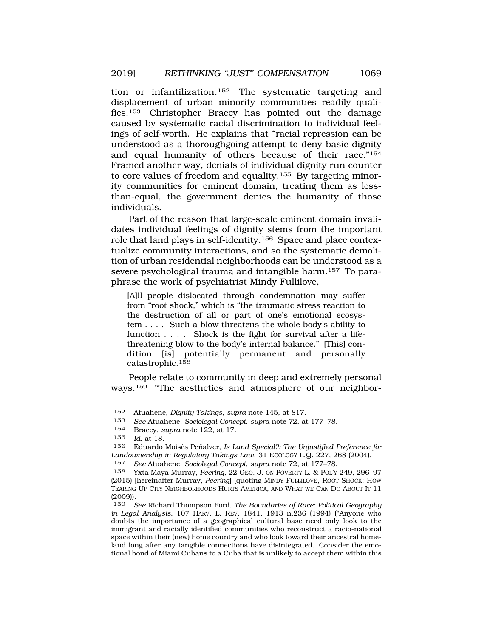tion or infantilization.152 The systematic targeting and displacement of urban minority communities readily qualifies.153 Christopher Bracey has pointed out the damage caused by systematic racial discrimination to individual feelings of self-worth. He explains that "racial repression can be understood as a thoroughgoing attempt to deny basic dignity and equal humanity of others because of their race."154 Framed another way, denials of individual dignity run counter to core values of freedom and equality.155 By targeting minority communities for eminent domain, treating them as lessthan-equal, the government denies the humanity of those individuals.

Part of the reason that large-scale eminent domain invalidates individual feelings of dignity stems from the important role that land plays in self-identity.156 Space and place contextualize community interactions, and so the systematic demolition of urban residential neighborhoods can be understood as a severe psychological trauma and intangible harm.157 To paraphrase the work of psychiatrist Mindy Fullilove,

[A]ll people dislocated through condemnation may suffer from "root shock," which is "the traumatic stress reaction to the destruction of all or part of one's emotional ecosystem . . . . Such a blow threatens the whole body's ability to function . . . . Shock is the fight for survival after a lifethreatening blow to the body's internal balance." [This] condition [is] potentially permanent and personally catastrophic.158

People relate to community in deep and extremely personal ways.159 "The aesthetics and atmosphere of our neighbor-

<sup>152</sup> Atuahene, *Dignity Takings*, *supra* note 145, at 817.

<sup>153</sup> *See* Atuahene, *Sociolegal Concept*, *supra* note 72, at 177–78.

<sup>154</sup> Bracey, *supra* note 122, at 17.

<sup>155</sup> *Id.* at 18.

Eduardo Moisès Peñalver, *Is Land Special?: The Unjustified Preference for Landownership in Regulatory Takings Law*, 31 ECOLOGY L.Q. 227, 268 (2004).

<sup>157</sup> *See* Atuahene, *Sociolegal Concept*, *supra* note 72, at 177–78.

<sup>158</sup> Yxta Maya Murray, *Peering*, 22 GEO. J. ON POVERTY L. & POL'Y 249, 296–97 (2015) [hereinafter Murray, *Peering*] (quoting MINDY FULLILOVE, ROOT SHOCK: HOW TEARING UP CITY NEIGHBORHOODS HURTS AMERICA, AND WHAT WE CAN DO ABOUT IT 11 (2009)).

<sup>159</sup> *See* Richard Thompson Ford, *The Boundaries of Race: Political Geography in Legal Analysis*, 107 HARV. L. REV. 1841, 1913 n.236 (1994) ("Anyone who doubts the importance of a geographical cultural base need only look to the immigrant and racially identified communities who reconstruct a racio-national space within their (new) home country and who look toward their ancestral homeland long after any tangible connections have disintegrated. Consider the emotional bond of Miami Cubans to a Cuba that is unlikely to accept them within this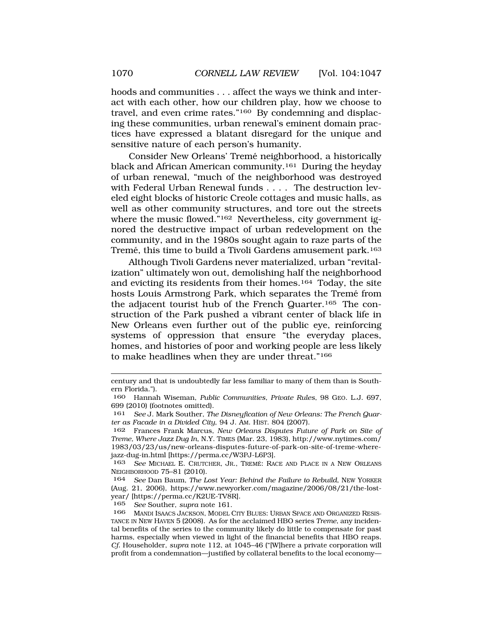hoods and communities . . . affect the ways we think and interact with each other, how our children play, how we choose to travel, and even crime rates."160 By condemning and displacing these communities, urban renewal's eminent domain practices have expressed a blatant disregard for the unique and sensitive nature of each person's humanity.

Consider New Orleans' Tremé neighborhood, a historically black and African American community.161 During the heyday of urban renewal, "much of the neighborhood was destroyed with Federal Urban Renewal funds . . . . The destruction leveled eight blocks of historic Creole cottages and music halls, as well as other community structures, and tore out the streets where the music flowed."<sup>162</sup> Nevertheless, city government ignored the destructive impact of urban redevelopment on the community, and in the 1980s sought again to raze parts of the Tremé, this time to build a Tivoli Gardens amusement park.<sup>163</sup>

Although Tivoli Gardens never materialized, urban "revitalization" ultimately won out, demolishing half the neighborhood and evicting its residents from their homes.164 Today, the site hosts Louis Armstrong Park, which separates the Tremé from the adjacent tourist hub of the French Quarter.165 The construction of the Park pushed a vibrant center of black life in New Orleans even further out of the public eye, reinforcing systems of oppression that ensure "the everyday places, homes, and histories of poor and working people are less likely to make headlines when they are under threat."166

century and that is undoubtedly far less familiar to many of them than is Southern Florida.").

<sup>160</sup> Hannah Wiseman, *Public Communities, Private Rules*, 98 GEO. L.J. 697, 699 (2010) (footnotes omitted).

<sup>161</sup> *See* J. Mark Souther, *The Disneyfication of New Orleans: The French Quarter as Facade in a Divided City*, 94 J. AM. HIST. 804 (2007).

<sup>162</sup> Frances Frank Marcus, *New Orleans Disputes Future of Park on Site of Treme, Where Jazz Dug In*, N.Y. TIMES (Mar. 23, 1983), http://www.nytimes.com/ 1983/03/23/us/new-orleans-disputes-future-of-park-on-site-of-treme-wherejazz-dug-in.html [https://perma.cc/W3PJ-L6P3].

<sup>163</sup> *See* MICHAEL E. CRUTCHER, JR., TREMÉ: RACE AND PLACE IN A NEW ORLEANS NEIGHBORHOOD 75–81 (2010).

<sup>164</sup> *See* Dan Baum, *The Lost Year: Behind the Failure to Rebuild*, NEW YORKER (Aug. 21, 2006), https://www.newyorker.com/magazine/2006/08/21/the-lostyear/ [https://perma.cc/K2UE-TV8R].

<sup>165</sup> *See* Souther, *supra* note 161.

<sup>166</sup> MANDI ISAACS JACKSON, MODEL CITY BLUES: URBAN SPACE AND ORGANIZED RESIS-TANCE IN NEW HAVEN 5 (2008). As for the acclaimed HBO series *Treme*, any incidental benefits of the series to the community likely do little to compensate for past harms, especially when viewed in light of the financial benefits that HBO reaps. *Cf.* Householder, *supra* note 112, at 1045–46 ("[W]here a private corporation will profit from a condemnation—justified by collateral benefits to the local economy—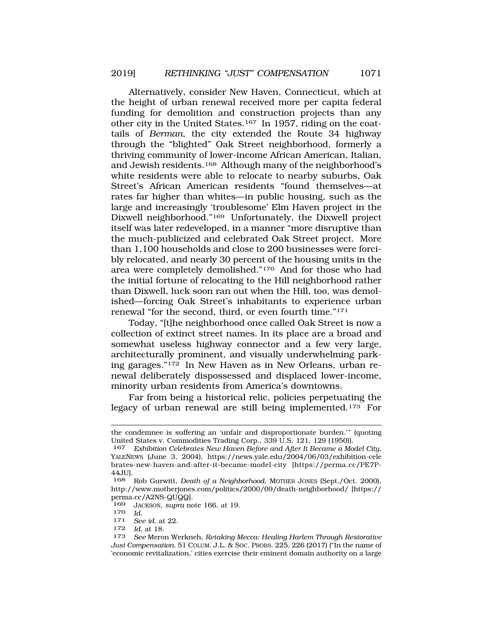Alternatively, consider New Haven, Connecticut, which at the height of urban renewal received more per capita federal funding for demolition and construction projects than any other city in the United States.167 In 1957, riding on the coattails of *Berman*, the city extended the Route 34 highway through the "blighted" Oak Street neighborhood, formerly a thriving community of lower-income African American, Italian, and Jewish residents.168 Although many of the neighborhood's white residents were able to relocate to nearby suburbs, Oak Street's African American residents "found themselves—at rates far higher than whites—in public housing, such as the large and increasingly 'troublesome' Elm Haven project in the Dixwell neighborhood."169 Unfortunately, the Dixwell project itself was later redeveloped, in a manner "more disruptive than the much-publicized and celebrated Oak Street project. More than 1,100 households and close to 200 businesses were forcibly relocated, and nearly 30 percent of the housing units in the area were completely demolished."170 And for those who had the initial fortune of relocating to the Hill neighborhood rather than Dixwell, luck soon ran out when the Hill, too, was demolished—forcing Oak Street's inhabitants to experience urban renewal "for the second, third, or even fourth time."171

Today, "[t]he neighborhood once called Oak Street is now a collection of extinct street names. In its place are a broad and somewhat useless highway connector and a few very large, architecturally prominent, and visually underwhelming parking garages."172 In New Haven as in New Orleans, urban renewal deliberately dispossessed and displaced lower-income, minority urban residents from America's downtowns.

Far from being a historical relic, policies perpetuating the legacy of urban renewal are still being implemented.173 For

*Id.* at 18.

the condemnee is suffering an 'unfair and disproportionate burden.'" (quoting United States v. Commodities Trading Corp., 339 U.S. 121, 129 (1950)).

<sup>167</sup> *Exhibition Celebrates New Haven Before and After It Became a Model City*, YALENEWS (June 3, 2004), https://news.yale.edu/2004/06/03/exhibition-cele brates-new-haven-and-after-it-became-model-city [https://perma.cc/PE7P-44JU].

<sup>168</sup> Rob Gurwitt, *Death of a Neighborhood*, MOTHER JONES (Sept./Oct. 2000), http://www.motherjones.com/politics/2000/09/death-neighborhood/ [https:// perma.cc/A2NS-QUQQ].

<sup>169</sup> JACKSON, *supra* note 166, at 19.

<sup>170</sup>*Id.* 171 *See id.* at 22.

<sup>173</sup> *See* Meron Werkneh, *Retaking Mecca: Healing Harlem Through Restorative Just Compensation*, 51 COLUM. J.L. & SOC. PROBS. 225, 226 (2017) ("In the name of 'economic revitalization,' cities exercise their eminent domain authority on a large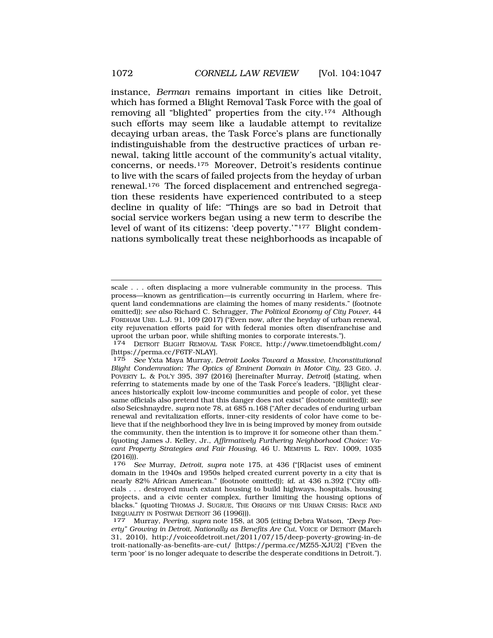instance, *Berman* remains important in cities like Detroit, which has formed a Blight Removal Task Force with the goal of removing all "blighted" properties from the city.174 Although such efforts may seem like a laudable attempt to revitalize decaying urban areas, the Task Force's plans are functionally indistinguishable from the destructive practices of urban renewal, taking little account of the community's actual vitality, concerns, or needs.175 Moreover, Detroit's residents continue to live with the scars of failed projects from the heyday of urban renewal.176 The forced displacement and entrenched segregation these residents have experienced contributed to a steep decline in quality of life: "Things are so bad in Detroit that social service workers began using a new term to describe the level of want of its citizens: 'deep poverty.'"<sup>177</sup> Blight condemnations symbolically treat these neighborhoods as incapable of

scale . . . often displacing a more vulnerable community in the process. This process—known as gentrification—is currently occurring in Harlem, where frequent land condemnations are claiming the homes of many residents." (footnote omitted)); *see also* Richard C. Schragger, *The Political Economy of City Power*, 44 FORDHAM URB. L.J. 91, 109 (2017) ("Even now, after the heyday of urban renewal, city rejuvenation efforts paid for with federal monies often disenfranchise and uproot the urban poor, while shifting monies to corporate interests.").

<sup>174</sup> DETROIT BLIGHT REMOVAL TASK FORCE, http://www.timetoendblight.com/ [https://perma.cc/F6TF-NLAY].

<sup>175</sup> *See* Yxta Maya Murray, *Detroit Looks Toward a Massive, Unconstitutional Blight Condemnation: The Optics of Eminent Domain in Motor City*, 23 GEO. J. POVERTY L. & POL'Y 395, 397 (2016) [hereinafter Murray, *Detroit*] (stating, when referring to statements made by one of the Task Force's leaders, "[B]light clearances historically exploit low-income communities and people of color, yet these same officials also pretend that this danger does not exist" (footnote omitted)); *see also* Seicshnaydre, *supra* note 78, at 685 n.168 ("After decades of enduring urban renewal and revitalization efforts, inner-city residents of color have come to believe that if the neighborhood they live in is being improved by money from outside the community, then the intention is to improve it for someone other than them." (quoting James J. Kelley, Jr., *Affirmatively Furthering Neighborhood Choice: Vacant Property Strategies and Fair Housing*, 46 U. MEMPHIS L. REV. 1009, 1035 (2016))).

<sup>176</sup> *See* Murray, *Detroit*, *supra* note 175, at 436 ("[R]acist uses of eminent domain in the 1940s and 1950s helped created current poverty in a city that is nearly 82% African American." (footnote omitted)); *id.* at 436 n.392 ("City officials . . . destroyed much extant housing to build highways, hospitals, housing projects, and a civic center complex, further limiting the housing options of blacks." (quoting THOMAS J. SUGRUE, THE ORIGINS OF THE URBAN CRISIS: RACE AND INEQUALITY IN POSTWAR DETROIT 36 (1996))).

<sup>177</sup> Murray, Peering, supra note 158, at 305 (citing Debra Watson, *"Deep Poverty" Growing in Detroit, Nationally as Benefits Are Cut*, VOICE OF DETROIT (March 31, 2010), http://voiceofdetroit.net/2011/07/15/deep-poverty-growing-in-de troit-nationally-as-benefits-are-cut/ [https://perma.cc/MZ55-XJU2] ("Even the term 'poor' is no longer adequate to describe the desperate conditions in Detroit.").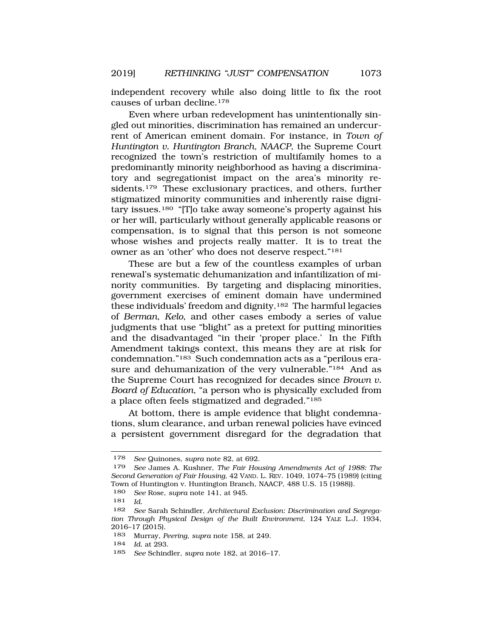independent recovery while also doing little to fix the root causes of urban decline.178

Even where urban redevelopment has unintentionally singled out minorities, discrimination has remained an undercurrent of American eminent domain. For instance, in *Town of Huntington v. Huntington Branch, NAACP*, the Supreme Court recognized the town's restriction of multifamily homes to a predominantly minority neighborhood as having a discriminatory and segregationist impact on the area's minority residents.<sup>179</sup> These exclusionary practices, and others, further stigmatized minority communities and inherently raise dignitary issues.180 "[T]o take away someone's property against his or her will, particularly without generally applicable reasons or compensation, is to signal that this person is not someone whose wishes and projects really matter. It is to treat the owner as an 'other' who does not deserve respect."181

These are but a few of the countless examples of urban renewal's systematic dehumanization and infantilization of minority communities. By targeting and displacing minorities, government exercises of eminent domain have undermined these individuals' freedom and dignity.182 The harmful legacies of *Berman*, *Kelo*, and other cases embody a series of value judgments that use "blight" as a pretext for putting minorities and the disadvantaged "in their 'proper place.' In the Fifth Amendment takings context, this means they are at risk for condemnation."183 Such condemnation acts as a "perilous erasure and dehumanization of the very vulnerable."<sup>184</sup> And as the Supreme Court has recognized for decades since *Brown v. Board of Education*, "a person who is physically excluded from a place often feels stigmatized and degraded."185

At bottom, there is ample evidence that blight condemnations, slum clearance, and urban renewal policies have evinced a persistent government disregard for the degradation that

180 *See* Rose, *supra* note 141, at 945.

<sup>178</sup> *See* Quinones, *supra* note 82, at 692.

<sup>179</sup> *See* James A. Kushner, *The Fair Housing Amendments Act of 1988: The Second Generation of Fair Housing*, 42 VAND. L. REV. 1049, 1074–75 (1989) (citing Town of Huntington v. Huntington Branch, NAACP, 488 U.S. 15 (1988)).

<sup>181</sup> *Id.* 

<sup>182</sup> *See* Sarah Schindler, *Architectural Exclusion: Discrimination and Segregation Through Physical Design of the Built Environment*, 124 YALE L.J. 1934, 2016–17 (2015).

<sup>183</sup> Murray, *Peering*, *supra* note 158, at 249.

<sup>184</sup> *Id.* at 293.

<sup>185</sup> *See* Schindler, *supra* note 182, at 2016–17.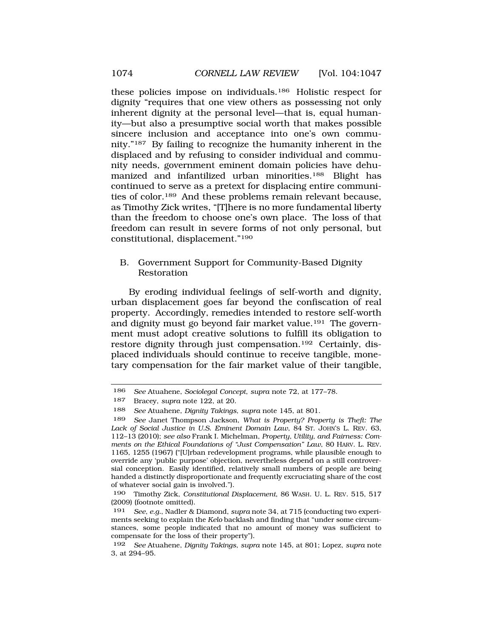these policies impose on individuals.186 Holistic respect for dignity "requires that one view others as possessing not only inherent dignity at the personal level—that is, equal humanity—but also a presumptive social worth that makes possible sincere inclusion and acceptance into one's own community."187 By failing to recognize the humanity inherent in the displaced and by refusing to consider individual and community needs, government eminent domain policies have dehumanized and infantilized urban minorities.188 Blight has continued to serve as a pretext for displacing entire communities of color.189 And these problems remain relevant because, as Timothy Zick writes, "[T]here is no more fundamental liberty than the freedom to choose one's own place. The loss of that freedom can result in severe forms of not only personal, but constitutional, displacement."190

## B. Government Support for Community-Based Dignity Restoration

By eroding individual feelings of self-worth and dignity, urban displacement goes far beyond the confiscation of real property. Accordingly, remedies intended to restore self-worth and dignity must go beyond fair market value.191 The government must adopt creative solutions to fulfill its obligation to restore dignity through just compensation.192 Certainly, displaced individuals should continue to receive tangible, monetary compensation for the fair market value of their tangible,

<sup>186</sup> *See* Atuahene, *Sociolegal Concept*, *supra* note 72, at 177–78.

<sup>187</sup> Bracey, *supra* note 122, at 20.

<sup>188</sup> *See* Atuahene, *Dignity Takings*, *supra* note 145, at 801.

<sup>189</sup> *See* Janet Thompson Jackson, *What is Property? Property is Theft: The Lack of Social Justice in U.S. Eminent Domain Law*, 84 ST. JOHN'S L. REV. 63, 112–13 (2010); *see also* Frank I. Michelman, *Property, Utility, and Fairness: Comments on the Ethical Foundations of "Just Compensation" Law*, 80 HARV. L. REV. 1165, 1255 (1967) ("[U]rban redevelopment programs, while plausible enough to override any 'public purpose' objection, nevertheless depend on a still controversial conception. Easily identified, relatively small numbers of people are being handed a distinctly disproportionate and frequently excruciating share of the cost of whatever social gain is involved.").

<sup>190</sup> Timothy Zick, *Constitutional Displacement*, 86 WASH. U. L. REV. 515, 517 (2009) (footnote omitted).

<sup>191</sup> *See, e.g.*, Nadler & Diamond, *supra* note 34, at 715 (conducting two experiments seeking to explain the *Kelo* backlash and finding that "under some circumstances, some people indicated that no amount of money was sufficient to compensate for the loss of their property").

<sup>192</sup> *See* Atuahene, *Dignity Takings*, *supra* note 145, at 801; Lopez, *supra* note 3, at 294–95.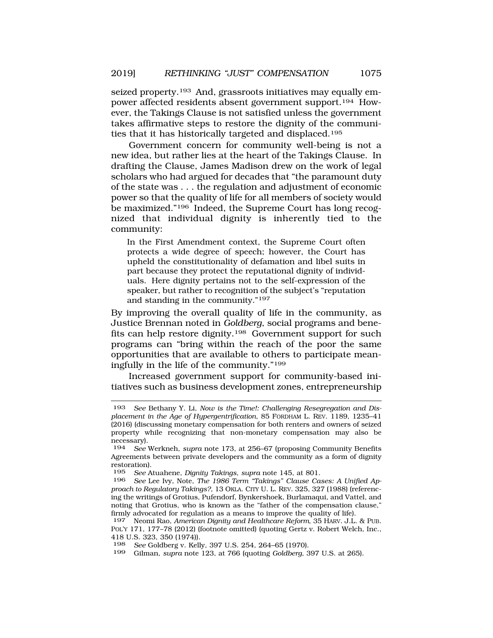seized property.<sup>193</sup> And, grassroots initiatives may equally empower affected residents absent government support.194 However, the Takings Clause is not satisfied unless the government takes affirmative steps to restore the dignity of the communities that it has historically targeted and displaced.195

Government concern for community well-being is not a new idea, but rather lies at the heart of the Takings Clause. In drafting the Clause, James Madison drew on the work of legal scholars who had argued for decades that "the paramount duty of the state was . . . the regulation and adjustment of economic power so that the quality of life for all members of society would be maximized."<sup>196</sup> Indeed, the Supreme Court has long recognized that individual dignity is inherently tied to the community:

In the First Amendment context, the Supreme Court often protects a wide degree of speech; however, the Court has upheld the constitutionality of defamation and libel suits in part because they protect the reputational dignity of individuals. Here dignity pertains not to the self-expression of the speaker, but rather to recognition of the subject's "reputation and standing in the community."<sup>197</sup>

By improving the overall quality of life in the community, as Justice Brennan noted in *Goldberg*, social programs and benefits can help restore dignity.198 Government support for such programs can "bring within the reach of the poor the same opportunities that are available to others to participate meaningfully in the life of the community."199

Increased government support for community-based initiatives such as business development zones, entrepreneurship

<sup>193</sup> *See* Bethany Y. Li, *Now is the Time!: Challenging Resegregation and Displacement in the Age of Hypergentrification*, 85 FORDHAM L. REV. 1189, 1235–41 (2016) (discussing monetary compensation for both renters and owners of seized property while recognizing that non-monetary compensation may also be necessary).

<sup>194</sup> *See* Werkneh, *supra* note 173, at 256–67 (proposing Community Benefits Agreements between private developers and the community as a form of dignity restoration).

<sup>195</sup> *See* Atuahene, *Dignity Takings*, *supra* note 145, at 801.

See Lee Ivy, Note, *The 1986 Term "Takings" Clause Cases: A Unified Approach to Regulatory Takings?*, 13 OKLA. CITY U. L. REV. 325, 327 (1988) (referencing the writings of Grotius, Pufendorf, Bynkershoek, Burlamaqui, and Vattel, and noting that Grotius, who is known as the "father of the compensation clause," firmly advocated for regulation as a means to improve the quality of life).

<sup>197</sup> Neomi Rao, *American Dignity and Healthcare Reform*, 35 HARV. J.L. & PUB. POL'Y 171, 177–78 (2012) (footnote omitted) (quoting Gertz v. Robert Welch, Inc., 418 U.S. 323, 350 (1974)).

<sup>198</sup> *See* Goldberg v. Kelly, 397 U.S. 254, 264–65 (1970).

<sup>199</sup> Gilman, *supra* note 123, at 766 (quoting *Goldberg*, 397 U.S. at 265).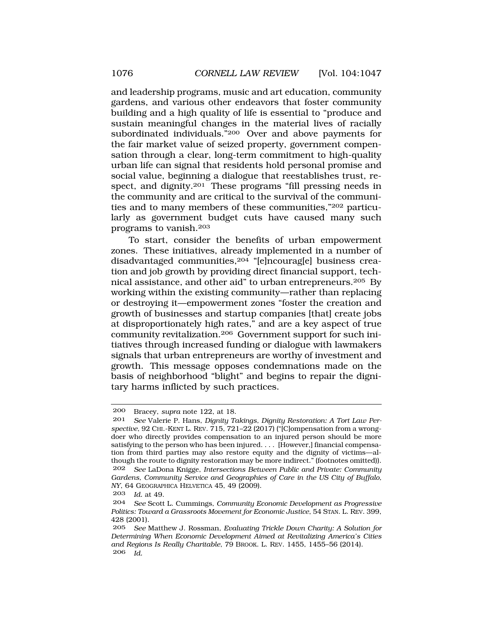and leadership programs, music and art education, community gardens, and various other endeavors that foster community building and a high quality of life is essential to "produce and sustain meaningful changes in the material lives of racially subordinated individuals."200 Over and above payments for the fair market value of seized property, government compensation through a clear, long-term commitment to high-quality urban life can signal that residents hold personal promise and social value, beginning a dialogue that reestablishes trust, respect, and dignity.<sup>201</sup> These programs "fill pressing needs in the community and are critical to the survival of the communities and to many members of these communities,"202 particularly as government budget cuts have caused many such programs to vanish.203

To start, consider the benefits of urban empowerment zones. These initiatives, already implemented in a number of disadvantaged communities,<sup>204</sup> "[e]ncourag[e] business creation and job growth by providing direct financial support, technical assistance, and other aid" to urban entrepreneurs.205 By working within the existing community—rather than replacing or destroying it—empowerment zones "foster the creation and growth of businesses and startup companies [that] create jobs at disproportionately high rates," and are a key aspect of true community revitalization.206 Government support for such initiatives through increased funding or dialogue with lawmakers signals that urban entrepreneurs are worthy of investment and growth. This message opposes condemnations made on the basis of neighborhood "blight" and begins to repair the dignitary harms inflicted by such practices.

<sup>200</sup> Bracey, *supra* note 122, at 18.

<sup>201</sup> *See* Valerie P. Hans, *Dignity Takings, Dignity Restoration: A Tort Law Perspective*, 92 CHI.-KENT L. REV. 715, 721–22 (2017) ("[C]ompensation from a wrongdoer who directly provides compensation to an injured person should be more satisfying to the person who has been injured. . . . [However,] financial compensation from third parties may also restore equity and the dignity of victims—although the route to dignity restoration may be more indirect." (footnotes omitted)). 202 *See* LaDona Knigge, *Intersections Between Public and Private: Community Gardens, Community Service and Geographies of Care in the US City of Buffalo, NY*, 64 GEOGRAPHICA HELVETICA 45, 49 (2009).

<sup>203</sup> *Id.* at 49.

<sup>204</sup> *See* Scott L. Cummings, *Community Economic Development as Progressive Politics: Toward a Grassroots Movement for Economic Justice*, 54 STAN. L. REV. 399, 428 (2001).

<sup>205</sup> *See* Matthew J. Rossman, *Evaluating Trickle Down Charity: A Solution for Determining When Economic Development Aimed at Revitalizing America's Cities and Regions Is Really Charitable*, 79 BROOK. L. REV. 1455, 1455–56 (2014). 206 *Id.*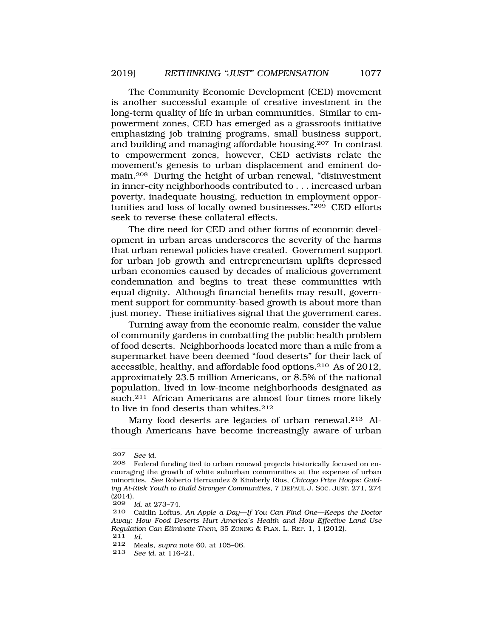The Community Economic Development (CED) movement is another successful example of creative investment in the long-term quality of life in urban communities. Similar to empowerment zones, CED has emerged as a grassroots initiative emphasizing job training programs, small business support, and building and managing affordable housing.207 In contrast to empowerment zones, however, CED activists relate the movement's genesis to urban displacement and eminent domain.208 During the height of urban renewal, "disinvestment in inner-city neighborhoods contributed to . . . increased urban poverty, inadequate housing, reduction in employment opportunities and loss of locally owned businesses."209 CED efforts seek to reverse these collateral effects.

The dire need for CED and other forms of economic development in urban areas underscores the severity of the harms that urban renewal policies have created. Government support for urban job growth and entrepreneurism uplifts depressed urban economies caused by decades of malicious government condemnation and begins to treat these communities with equal dignity. Although financial benefits may result, government support for community-based growth is about more than just money. These initiatives signal that the government cares.

Turning away from the economic realm, consider the value of community gardens in combatting the public health problem of food deserts. Neighborhoods located more than a mile from a supermarket have been deemed "food deserts" for their lack of accessible, healthy, and affordable food options.210 As of 2012, approximately 23.5 million Americans, or 8.5% of the national population, lived in low-income neighborhoods designated as such.<sup>211</sup> African Americans are almost four times more likely to live in food deserts than whites.212

Many food deserts are legacies of urban renewal.213 Although Americans have become increasingly aware of urban

<sup>207</sup> *See id.* 

Federal funding tied to urban renewal projects historically focused on encouraging the growth of white suburban communities at the expense of urban minorities. *See* Roberto Hernandez & Kimberly Rios, *Chicago Prize Hoops: Guiding At-Risk Youth to Build Stronger Communities*, 7 DEPAUL J. SOC. JUST. 271, 274 (2014).

<sup>209</sup> *Id.* at 273–74.

<sup>210</sup> Caitlin Loftus, *An Apple a Day—If You Can Find One—Keeps the Doctor Away: How Food Deserts Hurt America's Health and How Effective Land Use Regulation Can Eliminate Them*, 35 ZONING & PLAN. L. REP. 1, 1 (2012). 211 *Id.* 

<sup>212</sup> Meals, *supra* note 60, at 105–06.

<sup>213</sup> *See id.* at 116–21.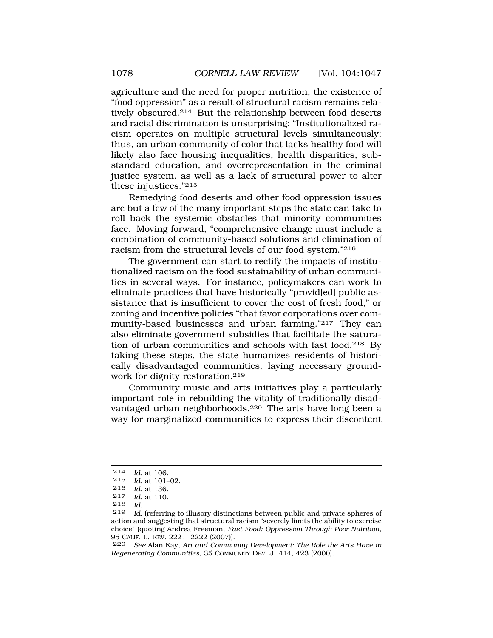agriculture and the need for proper nutrition, the existence of "food oppression" as a result of structural racism remains relatively obscured.214 But the relationship between food deserts and racial discrimination is unsurprising: "Institutionalized racism operates on multiple structural levels simultaneously; thus, an urban community of color that lacks healthy food will likely also face housing inequalities, health disparities, substandard education, and overrepresentation in the criminal justice system, as well as a lack of structural power to alter these injustices."215

Remedying food deserts and other food oppression issues are but a few of the many important steps the state can take to roll back the systemic obstacles that minority communities face. Moving forward, "comprehensive change must include a combination of community-based solutions and elimination of racism from the structural levels of our food system."216

The government can start to rectify the impacts of institutionalized racism on the food sustainability of urban communities in several ways. For instance, policymakers can work to eliminate practices that have historically "provid[ed] public assistance that is insufficient to cover the cost of fresh food," or zoning and incentive policies "that favor corporations over community-based businesses and urban farming."217 They can also eliminate government subsidies that facilitate the saturation of urban communities and schools with fast food.218 By taking these steps, the state humanizes residents of historically disadvantaged communities, laying necessary groundwork for dignity restoration.219

Community music and arts initiatives play a particularly important role in rebuilding the vitality of traditionally disadvantaged urban neighborhoods.220 The arts have long been a way for marginalized communities to express their discontent

<sup>214</sup> *Id.* at 106.

*Id.* at 101-02.

<sup>216</sup> *Id.* at 136.

<sup>217</sup> *Id.* at 110.

<sup>218</sup> *Id.* 

Id. (referring to illusory distinctions between public and private spheres of action and suggesting that structural racism "severely limits the ability to exercise choice" (quoting Andrea Freeman, *Fast Food: Oppression Through Poor Nutrition*, 95 CALIF. L. REV. 2221, 2222 (2007)).

<sup>220</sup> *See* Alan Kay, *Art and Community Development: The Role the Arts Have in Regenerating Communities*, 35 COMMUNITY DEV. J. 414, 423 (2000).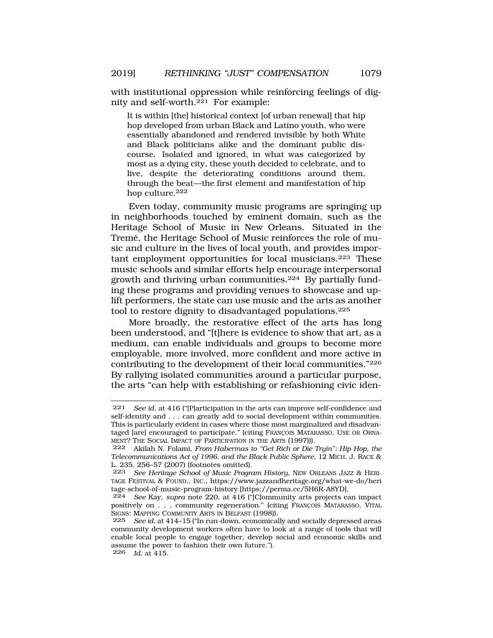with institutional oppression while reinforcing feelings of dignity and self-worth.<sup>221</sup> For example:

It is within [the] historical context [of urban renewal] that hip hop developed from urban Black and Latino youth, who were essentially abandoned and rendered invisible by both White and Black politicians alike and the dominant public discourse. Isolated and ignored, in what was categorized by most as a dying city, these youth decided to celebrate, and to live, despite the deteriorating conditions around them, through the beat—the first element and manifestation of hip hop culture.<sup>222</sup>

Even today, community music programs are springing up in neighborhoods touched by eminent domain, such as the Heritage School of Music in New Orleans. Situated in the Tremé, the Heritage School of Music reinforces the role of music and culture in the lives of local youth, and provides important employment opportunities for local musicians.223 These music schools and similar efforts help encourage interpersonal growth and thriving urban communities.224 By partially funding these programs and providing venues to showcase and uplift performers, the state can use music and the arts as another tool to restore dignity to disadvantaged populations.225

More broadly, the restorative effect of the arts has long been understood, and "[t]here is evidence to show that art, as a medium, can enable individuals and groups to become more employable, more involved, more confident and more active in contributing to the development of their local communities."226 By rallying isolated communities around a particular purpose, the arts "can help with establishing or refashioning civic iden-

<sup>221</sup> *See id.* at 416 ("[P]articipation in the arts can improve self-confidence and self-identity and . . . can greatly add to social development within communities. This is particularly evident in cases where those most marginalized and disadvantaged [are] encouraged to participate." (citing FRANCOIS MATARASSO, USE OR ORNA-MENT? THE SOCIAL IMPACT OF PARTICIPATION IN THE ARTS (1997))).

<sup>222</sup> Akilah N. Folami, *From Habermas to "Get Rich or Die Tryin": Hip Hop, the Telecommunications Act of 1996, and the Black Public Sphere*, 12 MICH. J. RACE & L. 235, 256–57 (2007) (footnotes omitted).

<sup>223</sup> *See Heritage School of Music Program History*, NEW ORLEANS JAZZ & HERI-TAGE FESTIVAL & FOUND., INC., https://www.jazzandheritage.org/what-we-do/heri tage-school-of-music-program-history [https://perma.cc/5H6R-A8YD].

<sup>224</sup> *See* Kay, *supra* note 220, at 416 ("[C]ommunity arts projects can impact positively on . . . community regeneration." (citing FRANÇOIS MATARASSO, VITAL SIGNS: MAPPING COMMUNITY ARTS IN BELFAST (1998)).

<sup>225</sup> *See id.* at 414–15 ("In run-down, economically and socially depressed areas community development workers often have to look at a range of tools that will enable local people to engage together, develop social and economic skills and assume the power to fashion their own future."). 226 *Id.* at 415.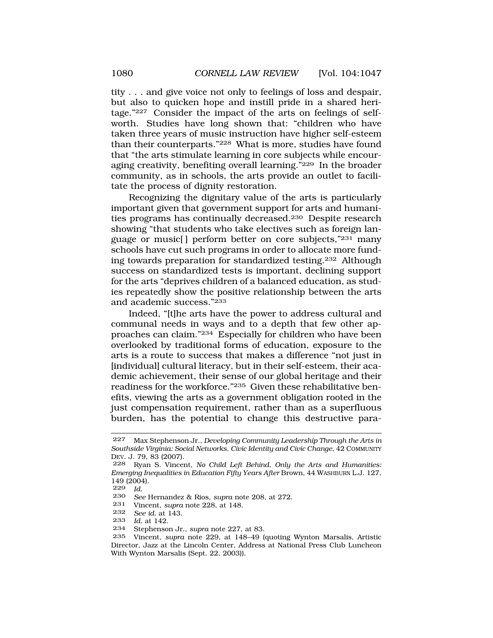tity . . . and give voice not only to feelings of loss and despair, but also to quicken hope and instill pride in a shared heritage."227 Consider the impact of the arts on feelings of selfworth. Studies have long shown that: "children who have taken three years of music instruction have higher self-esteem than their counterparts."228 What is more, studies have found that "the arts stimulate learning in core subjects while encouraging creativity, benefiting overall learning."229 In the broader community, as in schools, the arts provide an outlet to facilitate the process of dignity restoration.

Recognizing the dignitary value of the arts is particularly important given that government support for arts and humanities programs has continually decreased.230 Despite research showing "that students who take electives such as foreign language or music[ ] perform better on core subjects,"231 many schools have cut such programs in order to allocate more funding towards preparation for standardized testing.232 Although success on standardized tests is important, declining support for the arts "deprives children of a balanced education, as studies repeatedly show the positive relationship between the arts and academic success."233

Indeed, "[t]he arts have the power to address cultural and communal needs in ways and to a depth that few other approaches can claim."234 Especially for children who have been overlooked by traditional forms of education, exposure to the arts is a route to success that makes a difference "not just in [individual] cultural literacy, but in their self-esteem, their academic achievement, their sense of our global heritage and their readiness for the workforce."235 Given these rehabilitative benefits, viewing the arts as a government obligation rooted in the just compensation requirement, rather than as a superfluous burden, has the potential to change this destructive para-

- 231 Vincent, *supra* note 228, at 148.
- 232 *See id.* at 143.
- 233 *Id.* at 142.
- Stephenson Jr., *supra* note 227, at 83.

<sup>227</sup> Max Stephenson Jr., *Developing Community Leadership Through the Arts in Southside Virginia: Social Networks, Civic Identity and Civic Change*, 42 COMMUNITY DEV. J. 79, 83 (2007).

<sup>228</sup> Ryan S. Vincent, *No Child Left Behind, Only the Arts and Humanities: Emerging Inequalities in Education Fifty Years After* Brown, 44 WASHBURN L.J. 127, 149 (2004).

<sup>229</sup> *Id.* 

<sup>230</sup> *See* Hernandez & Rios, *supra* note 208, at 272.

<sup>235</sup> Vincent, *supra* note 229, at 148–49 (quoting Wynton Marsalis, Artistic Director, Jazz at the Lincoln Center, Address at National Press Club Luncheon With Wynton Marsalis (Sept. 22, 2003)).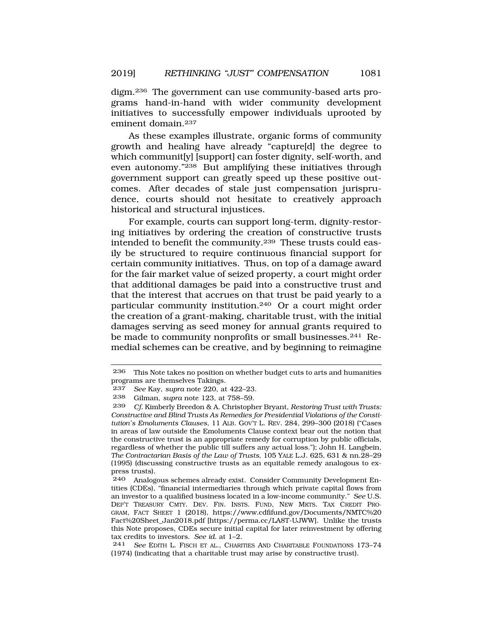digm.236 The government can use community-based arts programs hand-in-hand with wider community development initiatives to successfully empower individuals uprooted by eminent domain.237

As these examples illustrate, organic forms of community growth and healing have already "capture[d] the degree to which communit[y] [support] can foster dignity, self-worth, and even autonomy."238 But amplifying these initiatives through government support can greatly speed up these positive outcomes. After decades of stale just compensation jurisprudence, courts should not hesitate to creatively approach historical and structural injustices.

For example, courts can support long-term, dignity-restoring initiatives by ordering the creation of constructive trusts intended to benefit the community.239 These trusts could easily be structured to require continuous financial support for certain community initiatives. Thus, on top of a damage award for the fair market value of seized property, a court might order that additional damages be paid into a constructive trust and that the interest that accrues on that trust be paid yearly to a particular community institution.240 Or a court might order the creation of a grant-making, charitable trust, with the initial damages serving as seed money for annual grants required to be made to community nonprofits or small businesses.241 Remedial schemes can be creative, and by beginning to reimagine

<sup>236</sup> This Note takes no position on whether budget cuts to arts and humanities programs are themselves Takings.

<sup>237</sup> *See* Kay, *supra* note 220, at 422–23.

<sup>238</sup> Gilman, *supra* note 123, at 758–59.

<sup>239</sup> *Cf.* Kimberly Breedon & A. Christopher Bryant, *Restoring Trust with Trusts: Constructive and Blind Trusts As Remedies for Presidential Violations of the Constitution's Emoluments Clauses*, 11 ALB. GOV'T L. REV. 284, 299–300 (2018) ("Cases in areas of law outside the Emoluments Clause context bear out the notion that the constructive trust is an appropriate remedy for corruption by public officials, regardless of whether the public till suffers any actual loss."); John H. Langbein, *The Contractarian Basis of the Law of Trusts*, 105 YALE L.J. 625, 631 & nn.28–29 (1995) (discussing constructive trusts as an equitable remedy analogous to express trusts).

<sup>240</sup> Analogous schemes already exist. Consider Community Development Entities (CDEs), "financial intermediaries through which private capital flows from an investor to a qualified business located in a low-income community." *See* U.S. DEP'T TREASURY CMTY. DEV. FIN. INSTS. FUND, NEW MKTS. TAX CREDIT PRO-GRAM, FACT SHEET 1 (2018), https://www.cdfifund.gov/Documents/NMTC%20 Fact%20Sheet\_Jan2018.pdf [https://perma.cc/LA8T-UJWW]. Unlike the trusts this Note proposes, CDEs secure initial capital for later reinvestment by offering tax credits to investors. *See id.* at 1–2.

<sup>241</sup> *See* EDITH L. FISCH ET AL., CHARITIES AND CHARITABLE FOUNDATIONS 173–74 (1974) (indicating that a charitable trust may arise by constructive trust).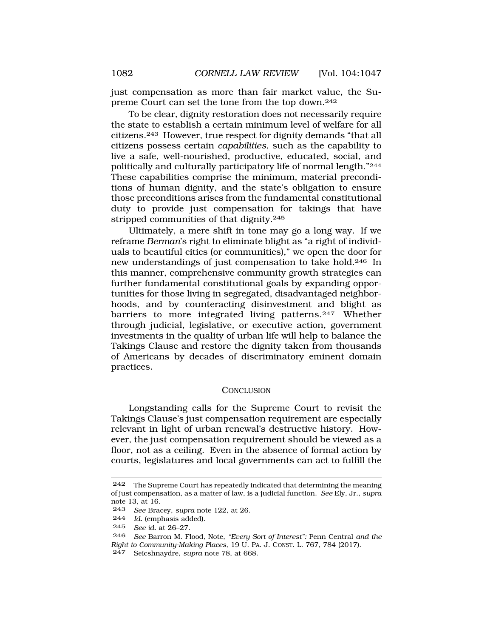just compensation as more than fair market value, the Supreme Court can set the tone from the top down.242

To be clear, dignity restoration does not necessarily require the state to establish a certain minimum level of welfare for all citizens.243 However, true respect for dignity demands "that all citizens possess certain *capabilities*, such as the capability to live a safe, well-nourished, productive, educated, social, and politically and culturally participatory life of normal length."244 These capabilities comprise the minimum, material preconditions of human dignity, and the state's obligation to ensure those preconditions arises from the fundamental constitutional duty to provide just compensation for takings that have stripped communities of that dignity.245

Ultimately, a mere shift in tone may go a long way. If we reframe *Berman*'s right to eliminate blight as "a right of individuals to beautiful cities (or communities)," we open the door for new understandings of just compensation to take hold.246 In this manner, comprehensive community growth strategies can further fundamental constitutional goals by expanding opportunities for those living in segregated, disadvantaged neighborhoods, and by counteracting disinvestment and blight as barriers to more integrated living patterns.<sup>247</sup> Whether through judicial, legislative, or executive action, government investments in the quality of urban life will help to balance the Takings Clause and restore the dignity taken from thousands of Americans by decades of discriminatory eminent domain practices.

## **CONCLUSION**

Longstanding calls for the Supreme Court to revisit the Takings Clause's just compensation requirement are especially relevant in light of urban renewal's destructive history. However, the just compensation requirement should be viewed as a floor, not as a ceiling. Even in the absence of formal action by courts, legislatures and local governments can act to fulfill the

<sup>242</sup> The Supreme Court has repeatedly indicated that determining the meaning of just compensation, as a matter of law, is a judicial function. *See* Ely, Jr., *supra*  note 13, at 16.

<sup>243</sup> *See* Bracey, *supra* note 122, at 26.

Id. (emphasis added).

<sup>245</sup> *See id.* at 26–27.

<sup>246</sup> *See* Barron M. Flood, Note, *"Every Sort of Interest":* Penn Central *and the Right to Community-Making Places*, 19 U. PA. J. CONST. L. 767, 784 (2017).

<sup>247</sup> Seicshnaydre, *supra* note 78, at 668.